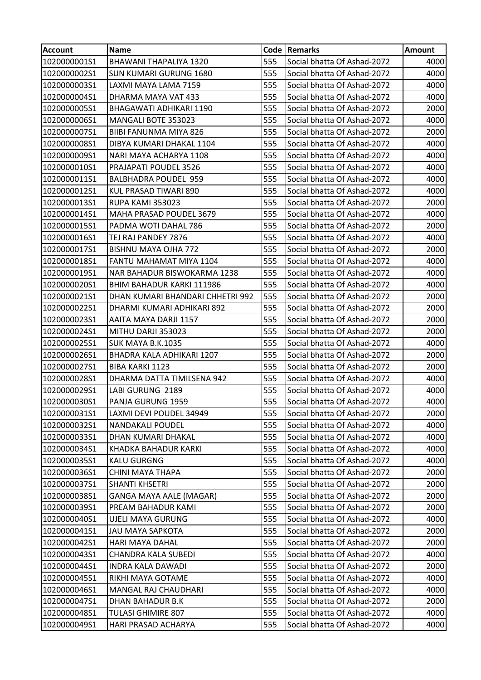| <b>Account</b> | <b>Name</b>                      |     | Code Remarks                | <b>Amount</b> |
|----------------|----------------------------------|-----|-----------------------------|---------------|
| 1020000001S1   | BHAWANI THAPALIYA 1320           | 555 | Social bhatta Of Ashad-2072 | 4000          |
| 1020000002S1   | <b>SUN KUMARI GURUNG 1680</b>    | 555 | Social bhatta Of Ashad-2072 | 4000          |
| 1020000003S1   | LAXMI MAYA LAMA 7159             | 555 | Social bhatta Of Ashad-2072 | 4000          |
| 1020000004S1   | DHARMA MAYA VAT 433              | 555 | Social bhatta Of Ashad-2072 | 4000          |
| 1020000005S1   | BHAGAWATI ADHIKARI 1190          | 555 | Social bhatta Of Ashad-2072 | 2000          |
| 1020000006S1   | MANGALI BOTE 353023              | 555 | Social bhatta Of Ashad-2072 | 4000          |
| 1020000007S1   | BIIBI FANUNMA MIYA 826           | 555 | Social bhatta Of Ashad-2072 | 2000          |
| 1020000008S1   | DIBYA KUMARI DHAKAL 1104         | 555 | Social bhatta Of Ashad-2072 | 4000          |
| 1020000009S1   | NARI MAYA ACHARYA 1108           | 555 | Social bhatta Of Ashad-2072 | 4000          |
| 1020000010S1   | PRAJAPATI POUDEL 3526            | 555 | Social bhatta Of Ashad-2072 | 4000          |
| 1020000011S1   | <b>BALBHADRA POUDEL 959</b>      | 555 | Social bhatta Of Ashad-2072 | 4000          |
| 1020000012S1   | KUL PRASAD TIWARI 890            | 555 | Social bhatta Of Ashad-2072 | 4000          |
| 1020000013S1   | RUPA KAMI 353023                 | 555 | Social bhatta Of Ashad-2072 | 2000          |
| 1020000014S1   | MAHA PRASAD POUDEL 3679          | 555 | Social bhatta Of Ashad-2072 | 4000          |
| 1020000015S1   | PADMA WOTI DAHAL 786             | 555 | Social bhatta Of Ashad-2072 | 2000          |
| 1020000016S1   | TEJ RAJ PANDEY 7876              | 555 | Social bhatta Of Ashad-2072 | 4000          |
| 1020000017S1   | BISHNU MAYA OJHA 772             | 555 | Social bhatta Of Ashad-2072 | 2000          |
| 1020000018S1   | FANTU MAHAMAT MIYA 1104          | 555 | Social bhatta Of Ashad-2072 | 4000          |
| 1020000019S1   | NAR BAHADUR BISWOKARMA 1238      | 555 | Social bhatta Of Ashad-2072 | 4000          |
| 1020000020S1   | BHIM BAHADUR KARKI 111986        | 555 | Social bhatta Of Ashad-2072 | 4000          |
| 1020000021S1   | DHAN KUMARI BHANDARI CHHETRI 992 | 555 | Social bhatta Of Ashad-2072 | 2000          |
| 1020000022S1   | DHARMI KUMARI ADHIKARI 892       | 555 | Social bhatta Of Ashad-2072 | 2000          |
| 1020000023S1   | AAITA MAYA DARJI 1157            | 555 | Social bhatta Of Ashad-2072 | 2000          |
| 1020000024S1   | MITHU DARJI 353023               | 555 | Social bhatta Of Ashad-2072 | 2000          |
| 1020000025S1   | SUK MAYA B.K.1035                | 555 | Social bhatta Of Ashad-2072 | 4000          |
| 1020000026S1   | BHADRA KALA ADHIKARI 1207        | 555 | Social bhatta Of Ashad-2072 | 2000          |
| 1020000027S1   | <b>BIBA KARKI 1123</b>           | 555 | Social bhatta Of Ashad-2072 | 2000          |
| 1020000028S1   | DHARMA DATTA TIMILSENA 942       | 555 | Social bhatta Of Ashad-2072 | 4000          |
| 1020000029S1   | LABI GURUNG 2189                 | 555 | Social bhatta Of Ashad-2072 | 4000          |
| 1020000030S1   | PANJA GURUNG 1959                | 555 | Social bhatta Of Ashad-2072 | 4000          |
| 1020000031S1   | LAXMI DEVI POUDEL 34949          | 555 | Social bhatta Of Ashad-2072 | 2000          |
| 1020000032S1   | <b>NANDAKALI POUDEL</b>          | 555 | Social bhatta Of Ashad-2072 | 4000          |
| 1020000033S1   | DHAN KUMARI DHAKAL               | 555 | Social bhatta Of Ashad-2072 | 4000          |
| 1020000034S1   | KHADKA BAHADUR KARKI             | 555 | Social bhatta Of Ashad-2072 | 4000          |
| 1020000035S1   | <b>KALU GURGNG</b>               | 555 | Social bhatta Of Ashad-2072 | 4000          |
| 1020000036S1   | <b>CHINI MAYA THAPA</b>          | 555 | Social bhatta Of Ashad-2072 | 2000          |
| 1020000037S1   | <b>SHANTI KHSETRI</b>            | 555 | Social bhatta Of Ashad-2072 | 2000          |
| 1020000038S1   | <b>GANGA MAYA AALE (MAGAR)</b>   | 555 | Social bhatta Of Ashad-2072 | 2000          |
| 1020000039S1   | PREAM BAHADUR KAMI               | 555 | Social bhatta Of Ashad-2072 | 2000          |
| 1020000040S1   | UJELI MAYA GURUNG                | 555 | Social bhatta Of Ashad-2072 | 4000          |
| 1020000041S1   | <b>JAU MAYA SAPKOTA</b>          | 555 | Social bhatta Of Ashad-2072 | 2000          |
| 1020000042S1   | HARI MAYA DAHAL                  | 555 | Social bhatta Of Ashad-2072 | 2000          |
| 1020000043S1   | <b>CHANDRA KALA SUBEDI</b>       | 555 | Social bhatta Of Ashad-2072 | 4000          |
| 1020000044S1   | <b>INDRA KALA DAWADI</b>         | 555 | Social bhatta Of Ashad-2072 | 2000          |
| 1020000045S1   | RIKHI MAYA GOTAME                | 555 | Social bhatta Of Ashad-2072 | 4000          |
| 1020000046S1   | MANGAL RAJ CHAUDHARI             | 555 | Social bhatta Of Ashad-2072 | 4000          |
| 1020000047S1   | DHAN BAHADUR B.K                 | 555 | Social bhatta Of Ashad-2072 | 2000          |
| 1020000048S1   | <b>TULASI GHIMIRE 807</b>        | 555 | Social bhatta Of Ashad-2072 | 4000          |
| 1020000049S1   | HARI PRASAD ACHARYA              | 555 | Social bhatta Of Ashad-2072 | 4000          |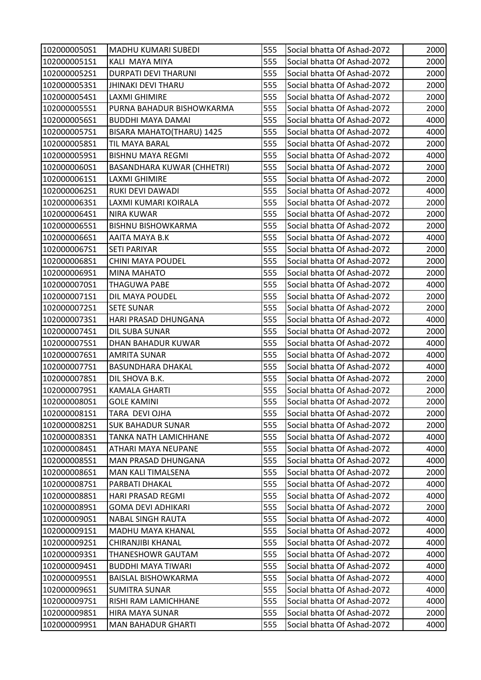| 1020000050S1 | <b>MADHU KUMARI SUBEDI</b>        | 555 | Social bhatta Of Ashad-2072 | 2000 |
|--------------|-----------------------------------|-----|-----------------------------|------|
| 1020000051S1 | KALI MAYA MIYA                    | 555 | Social bhatta Of Ashad-2072 | 2000 |
| 1020000052S1 | <b>DURPATI DEVI THARUNI</b>       | 555 | Social bhatta Of Ashad-2072 | 2000 |
| 1020000053S1 | <b>JHINAKI DEVI THARU</b>         | 555 | Social bhatta Of Ashad-2072 | 2000 |
| 1020000054S1 | <b>LAXMI GHIMIRE</b>              | 555 | Social bhatta Of Ashad-2072 | 2000 |
| 1020000055S1 | PURNA BAHADUR BISHOWKARMA         | 555 | Social bhatta Of Ashad-2072 | 2000 |
| 1020000056S1 | <b>BUDDHI MAYA DAMAI</b>          | 555 | Social bhatta Of Ashad-2072 | 4000 |
| 1020000057S1 | BISARA MAHATO(THARU) 1425         | 555 | Social bhatta Of Ashad-2072 | 4000 |
| 1020000058S1 | TIL MAYA BARAL                    | 555 | Social bhatta Of Ashad-2072 | 2000 |
| 1020000059S1 | <b>BISHNU MAYA REGMI</b>          | 555 | Social bhatta Of Ashad-2072 | 4000 |
| 1020000060S1 | <b>BASANDHARA KUWAR (CHHETRI)</b> | 555 | Social bhatta Of Ashad-2072 | 2000 |
| 1020000061S1 | LAXMI GHIMIRE                     | 555 | Social bhatta Of Ashad-2072 | 2000 |
| 1020000062S1 | RUKI DEVI DAWADI                  | 555 | Social bhatta Of Ashad-2072 | 4000 |
| 1020000063S1 | LAXMI KUMARI KOIRALA              | 555 | Social bhatta Of Ashad-2072 | 2000 |
| 1020000064S1 | <b>NIRA KUWAR</b>                 | 555 | Social bhatta Of Ashad-2072 | 2000 |
| 1020000065S1 | <b>BISHNU BISHOWKARMA</b>         | 555 | Social bhatta Of Ashad-2072 | 2000 |
| 1020000066S1 | AAITA MAYA B.K                    | 555 | Social bhatta Of Ashad-2072 | 4000 |
| 1020000067S1 | <b>SETI PARIYAR</b>               | 555 | Social bhatta Of Ashad-2072 | 2000 |
| 1020000068S1 | <b>CHINI MAYA POUDEL</b>          | 555 | Social bhatta Of Ashad-2072 | 2000 |
| 1020000069S1 | MINA MAHATO                       | 555 | Social bhatta Of Ashad-2072 | 2000 |
| 1020000070S1 | <b>THAGUWA PABE</b>               | 555 | Social bhatta Of Ashad-2072 | 4000 |
| 1020000071S1 | DIL MAYA POUDEL                   | 555 | Social bhatta Of Ashad-2072 | 2000 |
| 1020000072S1 | <b>SETE SUNAR</b>                 | 555 | Social bhatta Of Ashad-2072 | 2000 |
| 1020000073S1 | HARI PRASAD DHUNGANA              | 555 | Social bhatta Of Ashad-2072 | 4000 |
| 1020000074S1 | DIL SUBA SUNAR                    | 555 | Social bhatta Of Ashad-2072 | 2000 |
| 1020000075S1 | DHAN BAHADUR KUWAR                | 555 | Social bhatta Of Ashad-2072 | 4000 |
| 1020000076S1 | <b>AMRITA SUNAR</b>               | 555 | Social bhatta Of Ashad-2072 | 4000 |
| 1020000077S1 | <b>BASUNDHARA DHAKAL</b>          | 555 | Social bhatta Of Ashad-2072 | 4000 |
| 1020000078S1 | DIL SHOVA B.K.                    | 555 | Social bhatta Of Ashad-2072 | 2000 |
| 1020000079S1 | <b>KAMALA GHARTI</b>              | 555 | Social bhatta Of Ashad-2072 | 2000 |
| 1020000080S1 | <b>GOLE KAMINI</b>                | 555 | Social bhatta Of Ashad-2072 | 2000 |
| 1020000081S1 | TARA DEVI OJHA                    | 555 | Social bhatta Of Ashad-2072 | 2000 |
| 1020000082S1 | <b>SUK BAHADUR SUNAR</b>          | 555 | Social bhatta Of Ashad-2072 | 2000 |
| 1020000083S1 | TANKA NATH LAMICHHANE             | 555 | Social bhatta Of Ashad-2072 | 4000 |
| 1020000084S1 | <b>ATHARI MAYA NEUPANE</b>        | 555 | Social bhatta Of Ashad-2072 | 4000 |
| 1020000085S1 | MAN PRASAD DHUNGANA               | 555 | Social bhatta Of Ashad-2072 | 4000 |
| 1020000086S1 | <b>MAN KALI TIMALSENA</b>         | 555 | Social bhatta Of Ashad-2072 | 2000 |
| 1020000087S1 | PARBATI DHAKAL                    | 555 | Social bhatta Of Ashad-2072 | 4000 |
| 1020000088S1 | HARI PRASAD REGMI                 | 555 | Social bhatta Of Ashad-2072 | 4000 |
| 1020000089S1 | <b>GOMA DEVI ADHIKARI</b>         | 555 | Social bhatta Of Ashad-2072 | 2000 |
| 1020000090S1 | <b>NABAL SINGH RAUTA</b>          | 555 | Social bhatta Of Ashad-2072 | 4000 |
| 1020000091S1 | <b>MADHU MAYA KHANAL</b>          | 555 | Social bhatta Of Ashad-2072 | 4000 |
| 1020000092S1 | CHIRANJIBI KHANAL                 | 555 | Social bhatta Of Ashad-2072 | 4000 |
| 1020000093S1 | <b>THANESHOWR GAUTAM</b>          | 555 | Social bhatta Of Ashad-2072 | 4000 |
| 1020000094S1 | <b>BUDDHI MAYA TIWARI</b>         | 555 | Social bhatta Of Ashad-2072 | 4000 |
| 1020000095S1 | <b>BAISLAL BISHOWKARMA</b>        | 555 | Social bhatta Of Ashad-2072 | 4000 |
| 1020000096S1 | <b>SUMITRA SUNAR</b>              | 555 | Social bhatta Of Ashad-2072 | 4000 |
| 1020000097S1 | RISHI RAM LAMICHHANE              | 555 | Social bhatta Of Ashad-2072 | 4000 |
| 1020000098S1 | <b>HIRA MAYA SUNAR</b>            | 555 | Social bhatta Of Ashad-2072 | 2000 |
| 1020000099S1 | <b>MAN BAHADUR GHARTI</b>         | 555 | Social bhatta Of Ashad-2072 | 4000 |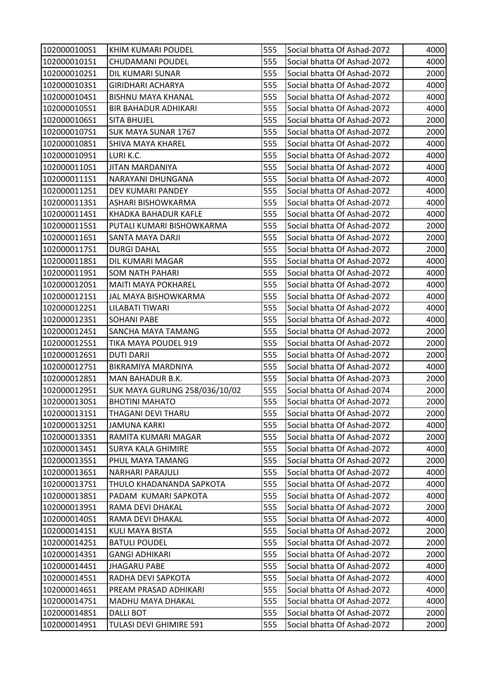| 1020000100S1 | KHIM KUMARI POUDEL                   | 555 | Social bhatta Of Ashad-2072 | 4000 |
|--------------|--------------------------------------|-----|-----------------------------|------|
| 1020000101S1 | <b>CHUDAMANI POUDEL</b>              | 555 | Social bhatta Of Ashad-2072 | 4000 |
| 1020000102S1 | DIL KUMARI SUNAR                     | 555 | Social bhatta Of Ashad-2072 | 2000 |
| 1020000103S1 | <b>GIRIDHARI ACHARYA</b>             | 555 | Social bhatta Of Ashad-2072 | 4000 |
| 1020000104S1 | <b>BISHNU MAYA KHANAL</b>            | 555 | Social bhatta Of Ashad-2072 | 4000 |
| 1020000105S1 | <b>BIR BAHADUR ADHIKARI</b>          | 555 | Social bhatta Of Ashad-2072 | 4000 |
| 1020000106S1 | <b>SITA BHUJEL</b>                   | 555 | Social bhatta Of Ashad-2072 | 2000 |
| 1020000107S1 | SUK MAYA SUNAR 1767                  | 555 | Social bhatta Of Ashad-2072 | 2000 |
| 1020000108S1 | <b>SHIVA MAYA KHAREL</b>             | 555 | Social bhatta Of Ashad-2072 | 4000 |
| 1020000109S1 | LURI K.C.                            | 555 | Social bhatta Of Ashad-2072 | 4000 |
| 1020000110S1 | <b>JITAN MARDANIYA</b>               | 555 | Social bhatta Of Ashad-2072 | 4000 |
| 1020000111S1 | NARAYANI DHUNGANA                    | 555 | Social bhatta Of Ashad-2072 | 4000 |
| 1020000112S1 | DEV KUMARI PANDEY                    | 555 | Social bhatta Of Ashad-2072 | 4000 |
| 1020000113S1 | ASHARI BISHOWKARMA                   | 555 | Social bhatta Of Ashad-2072 | 4000 |
| 1020000114S1 | KHADKA BAHADUR KAFLE                 | 555 | Social bhatta Of Ashad-2072 | 4000 |
| 1020000115S1 | PUTALI KUMARI BISHOWKARMA            | 555 | Social bhatta Of Ashad-2072 | 2000 |
| 1020000116S1 | SANTA MAYA DARJI                     | 555 | Social bhatta Of Ashad-2072 | 2000 |
| 1020000117S1 | <b>DURGI DAHAL</b>                   | 555 | Social bhatta Of Ashad-2072 | 2000 |
| 1020000118S1 | DIL KUMARI MAGAR                     | 555 | Social bhatta Of Ashad-2072 | 4000 |
| 1020000119S1 | SOM NATH PAHARI                      | 555 | Social bhatta Of Ashad-2072 | 4000 |
| 1020000120S1 | <b>MAITI MAYA POKHAREL</b>           | 555 | Social bhatta Of Ashad-2072 | 4000 |
| 1020000121S1 | JAL MAYA BISHOWKARMA                 | 555 | Social bhatta Of Ashad-2072 | 4000 |
| 1020000122S1 | LILABATI TIWARI                      | 555 | Social bhatta Of Ashad-2072 | 4000 |
| 1020000123S1 | <b>SOHANI PABE</b>                   | 555 | Social bhatta Of Ashad-2072 | 4000 |
| 1020000124S1 | <b>SANCHA MAYA TAMANG</b>            | 555 | Social bhatta Of Ashad-2072 | 2000 |
| 1020000125S1 | <b>TIKA MAYA POUDEL 919</b>          | 555 | Social bhatta Of Ashad-2072 | 2000 |
| 1020000126S1 | <b>DUTI DARJI</b>                    | 555 | Social bhatta Of Ashad-2072 | 2000 |
| 1020000127S1 | <b>BIKRAMIYA MARDNIYA</b>            | 555 | Social bhatta Of Ashad-2072 | 4000 |
| 1020000128S1 | MAN BAHADUR B.K.                     | 555 | Social bhatta Of Ashad-2073 | 2000 |
| 1020000129S1 | <b>SUK MAYA GURUNG 258/036/10/02</b> | 555 | Social bhatta Of Ashad-2074 | 2000 |
| 1020000130S1 | <b>BHOTINI MAHATO</b>                | 555 | Social bhatta Of Ashad-2072 | 2000 |
| 1020000131S1 | THAGANI DEVI THARU                   | 555 | Social bhatta Of Ashad-2072 | 2000 |
| 1020000132S1 | <b>JAMUNA KARKI</b>                  | 555 | Social bhatta Of Ashad-2072 | 4000 |
| 1020000133S1 | RAMITA KUMARI MAGAR                  | 555 | Social bhatta Of Ashad-2072 | 2000 |
| 1020000134S1 | <b>SURYA KALA GHIMIRE</b>            | 555 | Social bhatta Of Ashad-2072 | 4000 |
| 1020000135S1 | PHUL MAYA TAMANG                     | 555 | Social bhatta Of Ashad-2072 | 2000 |
| 1020000136S1 | <b>NARHARI PARAJULI</b>              | 555 | Social bhatta Of Ashad-2072 | 4000 |
| 1020000137S1 | THULO KHADANANDA SAPKOTA             | 555 | Social bhatta Of Ashad-2072 | 4000 |
| 1020000138S1 | PADAM KUMARI SAPKOTA                 | 555 | Social bhatta Of Ashad-2072 | 4000 |
| 1020000139S1 | RAMA DEVI DHAKAL                     | 555 | Social bhatta Of Ashad-2072 | 2000 |
| 1020000140S1 | RAMA DEVI DHAKAL                     | 555 | Social bhatta Of Ashad-2072 | 4000 |
| 1020000141S1 | <b>KULI MAYA BISTA</b>               | 555 | Social bhatta Of Ashad-2072 | 2000 |
| 1020000142S1 | <b>BATULI POUDEL</b>                 | 555 | Social bhatta Of Ashad-2072 | 2000 |
| 1020000143S1 | <b>GANGI ADHIKARI</b>                | 555 | Social bhatta Of Ashad-2072 | 2000 |
| 1020000144S1 | <b>JHAGARU PABE</b>                  | 555 | Social bhatta Of Ashad-2072 | 4000 |
| 1020000145S1 | RADHA DEVI SAPKOTA                   | 555 | Social bhatta Of Ashad-2072 | 4000 |
| 1020000146S1 | PREAM PRASAD ADHIKARI                | 555 | Social bhatta Of Ashad-2072 | 4000 |
| 1020000147S1 | MADHU MAYA DHAKAL                    | 555 | Social bhatta Of Ashad-2072 | 4000 |
| 1020000148S1 | <b>DALLI BOT</b>                     | 555 | Social bhatta Of Ashad-2072 | 2000 |
| 1020000149S1 | TULASI DEVI GHIMIRE 591              | 555 | Social bhatta Of Ashad-2072 | 2000 |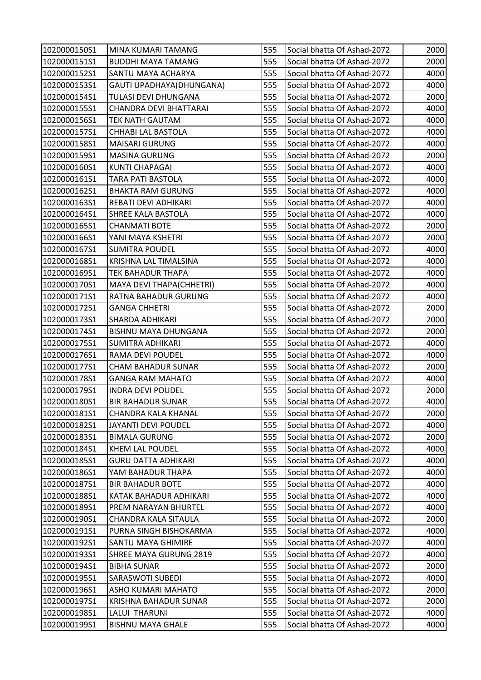| 1020000150S1 | MINA KUMARI TAMANG           | 555 | Social bhatta Of Ashad-2072 | 2000 |
|--------------|------------------------------|-----|-----------------------------|------|
| 1020000151S1 | <b>BUDDHI MAYA TAMANG</b>    | 555 | Social bhatta Of Ashad-2072 | 2000 |
| 1020000152S1 | SANTU MAYA ACHARYA           | 555 | Social bhatta Of Ashad-2072 | 4000 |
| 1020000153S1 | GAUTI UPADHAYA(DHUNGANA)     | 555 | Social bhatta Of Ashad-2072 | 4000 |
| 1020000154S1 | TULASI DEVI DHUNGANA         | 555 | Social bhatta Of Ashad-2072 | 2000 |
| 1020000155S1 | CHANDRA DEVI BHATTARAI       | 555 | Social bhatta Of Ashad-2072 | 4000 |
| 1020000156S1 | <b>TEK NATH GAUTAM</b>       | 555 | Social bhatta Of Ashad-2072 | 4000 |
| 1020000157S1 | CHHABI LAL BASTOLA           | 555 | Social bhatta Of Ashad-2072 | 4000 |
| 1020000158S1 | <b>MAISARI GURUNG</b>        | 555 | Social bhatta Of Ashad-2072 | 4000 |
| 1020000159S1 | <b>MASINA GURUNG</b>         | 555 | Social bhatta Of Ashad-2072 | 2000 |
| 1020000160S1 | <b>KUNTI CHAPAGAI</b>        | 555 | Social bhatta Of Ashad-2072 | 4000 |
| 1020000161S1 | <b>TARA PATI BASTOLA</b>     | 555 | Social bhatta Of Ashad-2072 | 4000 |
| 1020000162S1 | <b>BHAKTA RAM GURUNG</b>     | 555 | Social bhatta Of Ashad-2072 | 4000 |
| 1020000163S1 | REBATI DEVI ADHIKARI         | 555 | Social bhatta Of Ashad-2072 | 4000 |
| 1020000164S1 | SHREE KALA BASTOLA           | 555 | Social bhatta Of Ashad-2072 | 4000 |
| 1020000165S1 | <b>CHANMATI BOTE</b>         | 555 | Social bhatta Of Ashad-2072 | 2000 |
| 1020000166S1 | YANI MAYA KSHETRI            | 555 | Social bhatta Of Ashad-2072 | 2000 |
| 1020000167S1 | <b>SUMITRA POUDEL</b>        | 555 | Social bhatta Of Ashad-2072 | 4000 |
| 1020000168S1 | <b>KRISHNA LAL TIMALSINA</b> | 555 | Social bhatta Of Ashad-2072 | 4000 |
| 1020000169S1 | TEK BAHADUR THAPA            | 555 | Social bhatta Of Ashad-2072 | 4000 |
| 1020000170S1 | MAYA DEVI THAPA(CHHETRI)     | 555 | Social bhatta Of Ashad-2072 | 4000 |
| 1020000171S1 | RATNA BAHADUR GURUNG         | 555 | Social bhatta Of Ashad-2072 | 4000 |
| 1020000172S1 | <b>GANGA CHHETRI</b>         | 555 | Social bhatta Of Ashad-2072 | 2000 |
| 1020000173S1 | <b>SHARDA ADHIKARI</b>       | 555 | Social bhatta Of Ashad-2072 | 2000 |
| 1020000174S1 | BISHNU MAYA DHUNGANA         | 555 | Social bhatta Of Ashad-2072 | 2000 |
| 1020000175S1 | <b>SUMITRA ADHIKARI</b>      | 555 | Social bhatta Of Ashad-2072 | 4000 |
| 1020000176S1 | RAMA DEVI POUDEL             | 555 | Social bhatta Of Ashad-2072 | 4000 |
| 1020000177S1 | <b>CHAM BAHADUR SUNAR</b>    | 555 | Social bhatta Of Ashad-2072 | 2000 |
| 1020000178S1 | <b>GANGA RAM MAHATO</b>      | 555 | Social bhatta Of Ashad-2072 | 4000 |
| 1020000179S1 | <b>INDRA DEVI POUDEL</b>     | 555 | Social bhatta Of Ashad-2072 | 2000 |
| 1020000180S1 | <b>BIR BAHADUR SUNAR</b>     | 555 | Social bhatta Of Ashad-2072 | 4000 |
| 1020000181S1 | CHANDRA KALA KHANAL          | 555 | Social bhatta Of Ashad-2072 | 2000 |
| 1020000182S1 | JAYANTI DEVI POUDEL          | 555 | Social bhatta Of Ashad-2072 | 4000 |
| 1020000183S1 | <b>BIMALA GURUNG</b>         | 555 | Social bhatta Of Ashad-2072 | 2000 |
| 1020000184S1 | <b>KHEM LAL POUDEL</b>       | 555 | Social bhatta Of Ashad-2072 | 4000 |
| 1020000185S1 | <b>GURU DATTA ADHIKARI</b>   | 555 | Social bhatta Of Ashad-2072 | 4000 |
| 1020000186S1 | YAM BAHADUR THAPA            | 555 | Social bhatta Of Ashad-2072 | 4000 |
| 1020000187S1 | <b>BIR BAHADUR BOTE</b>      | 555 | Social bhatta Of Ashad-2072 | 4000 |
| 1020000188S1 | KATAK BAHADUR ADHIKARI       | 555 | Social bhatta Of Ashad-2072 | 4000 |
| 1020000189S1 | PREM NARAYAN BHURTEL         | 555 | Social bhatta Of Ashad-2072 | 4000 |
| 1020000190S1 | CHANDRA KALA SITAULA         | 555 | Social bhatta Of Ashad-2072 | 2000 |
| 1020000191S1 | PURNA SINGH BISHOKARMA       | 555 | Social bhatta Of Ashad-2072 | 4000 |
| 1020000192S1 | <b>SANTU MAYA GHIMIRE</b>    | 555 | Social bhatta Of Ashad-2072 | 4000 |
| 1020000193S1 | SHREE MAYA GURUNG 2819       | 555 | Social bhatta Of Ashad-2072 | 4000 |
| 1020000194S1 | <b>BIBHA SUNAR</b>           | 555 | Social bhatta Of Ashad-2072 | 2000 |
| 1020000195S1 | SARASWOTI SUBEDI             | 555 | Social bhatta Of Ashad-2072 | 4000 |
| 1020000196S1 | ASHO KUMARI MAHATO           | 555 | Social bhatta Of Ashad-2072 | 2000 |
| 1020000197S1 | KRISHNA BAHADUR SUNAR        | 555 | Social bhatta Of Ashad-2072 | 2000 |
| 1020000198S1 | LALUI THARUNI                | 555 | Social bhatta Of Ashad-2072 | 4000 |
| 1020000199S1 | <b>BISHNU MAYA GHALE</b>     | 555 | Social bhatta Of Ashad-2072 | 4000 |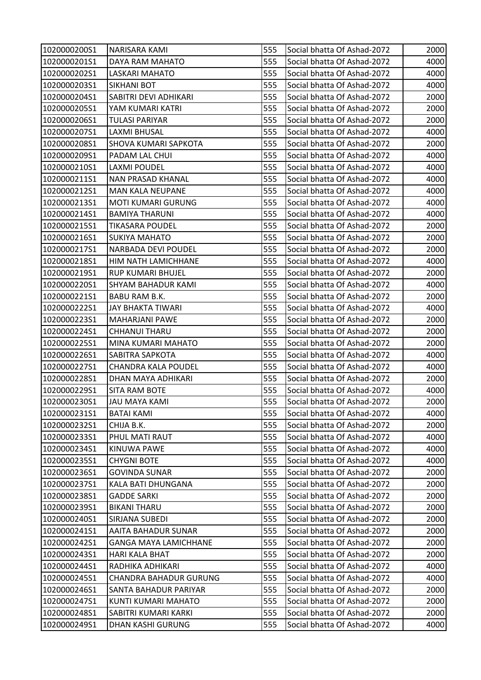| 1020000200S1 | NARISARA KAMI                | 555 | Social bhatta Of Ashad-2072 | 2000 |
|--------------|------------------------------|-----|-----------------------------|------|
| 1020000201S1 | DAYA RAM MAHATO              | 555 | Social bhatta Of Ashad-2072 | 4000 |
| 1020000202S1 | LASKARI MAHATO               | 555 | Social bhatta Of Ashad-2072 | 4000 |
| 1020000203S1 | SIKHANI BOT                  | 555 | Social bhatta Of Ashad-2072 | 4000 |
| 1020000204S1 | SABITRI DEVI ADHIKARI        | 555 | Social bhatta Of Ashad-2072 | 2000 |
| 1020000205S1 | YAM KUMARI KATRI             | 555 | Social bhatta Of Ashad-2072 | 2000 |
| 1020000206S1 | <b>TULASI PARIYAR</b>        | 555 | Social bhatta Of Ashad-2072 | 2000 |
| 1020000207S1 | LAXMI BHUSAL                 | 555 | Social bhatta Of Ashad-2072 | 4000 |
| 1020000208S1 | <b>SHOVA KUMARI SAPKOTA</b>  | 555 | Social bhatta Of Ashad-2072 | 2000 |
| 1020000209S1 | PADAM LAL CHUI               | 555 | Social bhatta Of Ashad-2072 | 4000 |
| 1020000210S1 | <b>LAXMI POUDEL</b>          | 555 | Social bhatta Of Ashad-2072 | 4000 |
| 1020000211S1 | NAN PRASAD KHANAL            | 555 | Social bhatta Of Ashad-2072 | 4000 |
| 1020000212S1 | <b>MAN KALA NEUPANE</b>      | 555 | Social bhatta Of Ashad-2072 | 4000 |
| 1020000213S1 | <b>MOTI KUMARI GURUNG</b>    | 555 | Social bhatta Of Ashad-2072 | 4000 |
| 1020000214S1 | <b>BAMIYA THARUNI</b>        | 555 | Social bhatta Of Ashad-2072 | 4000 |
| 1020000215S1 | <b>TIKASARA POUDEL</b>       | 555 | Social bhatta Of Ashad-2072 | 2000 |
| 1020000216S1 | <b>SUKIYA MAHATO</b>         | 555 | Social bhatta Of Ashad-2072 | 2000 |
| 1020000217S1 | NARBADA DEVI POUDEL          | 555 | Social bhatta Of Ashad-2072 | 2000 |
| 1020000218S1 | HIM NATH LAMICHHANE          | 555 | Social bhatta Of Ashad-2072 | 4000 |
| 1020000219S1 | <b>RUP KUMARI BHUJEL</b>     | 555 | Social bhatta Of Ashad-2072 | 2000 |
| 1020000220S1 | <b>SHYAM BAHADUR KAMI</b>    | 555 | Social bhatta Of Ashad-2072 | 4000 |
| 1020000221S1 | BABU RAM B.K.                | 555 | Social bhatta Of Ashad-2072 | 2000 |
| 1020000222S1 | <b>JAY BHAKTA TIWARI</b>     | 555 | Social bhatta Of Ashad-2072 | 4000 |
| 1020000223S1 | <b>MAHARJANI PAWE</b>        | 555 | Social bhatta Of Ashad-2072 | 2000 |
| 1020000224S1 | <b>CHHANUI THARU</b>         | 555 | Social bhatta Of Ashad-2072 | 2000 |
| 1020000225S1 | MINA KUMARI MAHATO           | 555 | Social bhatta Of Ashad-2072 | 2000 |
| 1020000226S1 | SABITRA SAPKOTA              | 555 | Social bhatta Of Ashad-2072 | 4000 |
| 1020000227S1 | <b>CHANDRA KALA POUDEL</b>   | 555 | Social bhatta Of Ashad-2072 | 4000 |
| 1020000228S1 | DHAN MAYA ADHIKARI           | 555 | Social bhatta Of Ashad-2072 | 2000 |
| 1020000229S1 | <b>SITA RAM BOTE</b>         | 555 | Social bhatta Of Ashad-2072 | 4000 |
| 1020000230S1 | <b>JAU MAYA KAMI</b>         | 555 | Social bhatta Of Ashad-2072 | 2000 |
| 1020000231S1 | <b>BATAI KAMI</b>            | 555 | Social bhatta Of Ashad-2072 | 4000 |
| 1020000232S1 | CHIJA B.K.                   | 555 | Social bhatta Of Ashad-2072 | 2000 |
| 1020000233S1 | PHUL MATI RAUT               | 555 | Social bhatta Of Ashad-2072 | 4000 |
| 1020000234S1 | KINUWA PAWE                  | 555 | Social bhatta Of Ashad-2072 | 4000 |
| 1020000235S1 | <b>CHYGNI BOTE</b>           | 555 | Social bhatta Of Ashad-2072 | 4000 |
| 1020000236S1 | <b>GOVINDA SUNAR</b>         | 555 | Social bhatta Of Ashad-2072 | 2000 |
| 1020000237S1 | KALA BATI DHUNGANA           | 555 | Social bhatta Of Ashad-2072 | 2000 |
| 1020000238S1 | <b>GADDE SARKI</b>           | 555 | Social bhatta Of Ashad-2072 | 2000 |
| 1020000239S1 | <b>BIKANI THARU</b>          | 555 | Social bhatta Of Ashad-2072 | 2000 |
| 1020000240S1 | SIRJANA SUBEDI               | 555 | Social bhatta Of Ashad-2072 | 2000 |
| 1020000241S1 | AAITA BAHADUR SUNAR          | 555 | Social bhatta Of Ashad-2072 | 2000 |
| 1020000242S1 | <b>GANGA MAYA LAMICHHANE</b> | 555 | Social bhatta Of Ashad-2072 | 2000 |
| 1020000243S1 | HARI KALA BHAT               | 555 | Social bhatta Of Ashad-2072 | 2000 |
| 1020000244S1 | RADHIKA ADHIKARI             | 555 | Social bhatta Of Ashad-2072 | 4000 |
| 1020000245S1 | CHANDRA BAHADUR GURUNG       | 555 | Social bhatta Of Ashad-2072 | 4000 |
| 1020000246S1 | SANTA BAHADUR PARIYAR        | 555 | Social bhatta Of Ashad-2072 | 2000 |
| 1020000247S1 | KUNTI KUMARI MAHATO          | 555 | Social bhatta Of Ashad-2072 | 2000 |
| 1020000248S1 | SABITRI KUMARI KARKI         | 555 | Social bhatta Of Ashad-2072 | 2000 |
| 1020000249S1 | DHAN KASHI GURUNG            | 555 | Social bhatta Of Ashad-2072 | 4000 |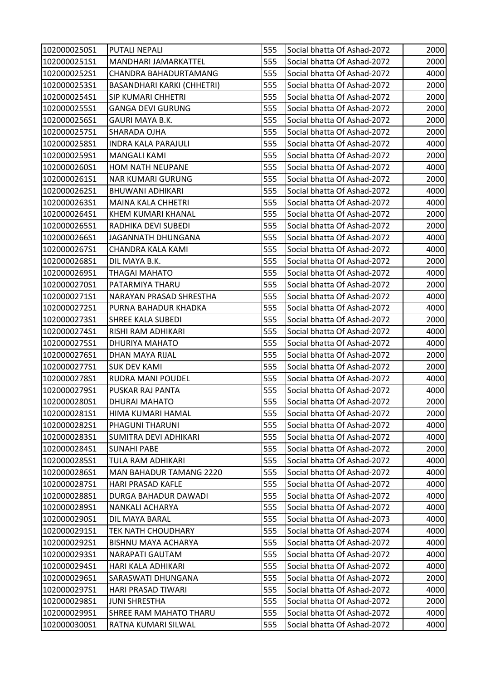| 1020000250S1 | <b>PUTALI NEPALI</b>              | 555 | Social bhatta Of Ashad-2072 | 2000 |
|--------------|-----------------------------------|-----|-----------------------------|------|
| 1020000251S1 | MANDHARI JAMARKATTEL              | 555 | Social bhatta Of Ashad-2072 | 2000 |
| 1020000252S1 | CHANDRA BAHADURTAMANG             | 555 | Social bhatta Of Ashad-2072 | 4000 |
| 1020000253S1 | <b>BASANDHARI KARKI (CHHETRI)</b> | 555 | Social bhatta Of Ashad-2072 | 2000 |
| 1020000254S1 | <b>SIP KUMARI CHHETRI</b>         | 555 | Social bhatta Of Ashad-2072 | 2000 |
| 1020000255S1 | <b>GANGA DEVI GURUNG</b>          | 555 | Social bhatta Of Ashad-2072 | 2000 |
| 1020000256S1 | GAURI MAYA B.K.                   | 555 | Social bhatta Of Ashad-2072 | 2000 |
| 1020000257S1 | SHARADA OJHA                      | 555 | Social bhatta Of Ashad-2072 | 2000 |
| 1020000258S1 | <b>INDRA KALA PARAJULI</b>        | 555 | Social bhatta Of Ashad-2072 | 4000 |
| 1020000259S1 | MANGALI KAMI                      | 555 | Social bhatta Of Ashad-2072 | 2000 |
| 1020000260S1 | <b>HOM NATH NEUPANE</b>           | 555 | Social bhatta Of Ashad-2072 | 4000 |
| 1020000261S1 | <b>NAR KUMARI GURUNG</b>          | 555 | Social bhatta Of Ashad-2072 | 2000 |
| 1020000262S1 | <b>BHUWANI ADHIKARI</b>           | 555 | Social bhatta Of Ashad-2072 | 4000 |
| 1020000263S1 | <b>MAINA KALA CHHETRI</b>         | 555 | Social bhatta Of Ashad-2072 | 4000 |
| 1020000264S1 | KHEM KUMARI KHANAL                | 555 | Social bhatta Of Ashad-2072 | 2000 |
| 1020000265S1 | RADHIKA DEVI SUBEDI               | 555 | Social bhatta Of Ashad-2072 | 2000 |
| 1020000266S1 | JAGANNATH DHUNGANA                | 555 | Social bhatta Of Ashad-2072 | 4000 |
| 1020000267S1 | CHANDRA KALA KAMI                 | 555 | Social bhatta Of Ashad-2072 | 4000 |
| 1020000268S1 | DIL MAYA B.K.                     | 555 | Social bhatta Of Ashad-2072 | 2000 |
| 1020000269S1 | THAGAI MAHATO                     | 555 | Social bhatta Of Ashad-2072 | 4000 |
| 1020000270S1 | PATARMIYA THARU                   | 555 | Social bhatta Of Ashad-2072 | 2000 |
| 1020000271S1 | NARAYAN PRASAD SHRESTHA           | 555 | Social bhatta Of Ashad-2072 | 4000 |
| 1020000272S1 | PURNA BAHADUR KHADKA              | 555 | Social bhatta Of Ashad-2072 | 4000 |
| 1020000273S1 | <b>SHREE KALA SUBEDI</b>          | 555 | Social bhatta Of Ashad-2072 | 2000 |
| 1020000274S1 | RISHI RAM ADHIKARI                | 555 | Social bhatta Of Ashad-2072 | 4000 |
| 1020000275S1 | DHURIYA MAHATO                    | 555 | Social bhatta Of Ashad-2072 | 4000 |
| 1020000276S1 | DHAN MAYA RIJAL                   | 555 | Social bhatta Of Ashad-2072 | 2000 |
| 1020000277S1 | <b>SUK DEV KAMI</b>               | 555 | Social bhatta Of Ashad-2072 | 2000 |
| 1020000278S1 | <b>RUDRA MANI POUDEL</b>          | 555 | Social bhatta Of Ashad-2072 | 4000 |
| 1020000279S1 | <b>PUSKAR RAJ PANTA</b>           | 555 | Social bhatta Of Ashad-2072 | 4000 |
| 1020000280S1 | <b>DHURAI MAHATO</b>              | 555 | Social bhatta Of Ashad-2072 | 2000 |
| 1020000281S1 | HIMA KUMARI HAMAL                 | 555 | Social bhatta Of Ashad-2072 | 2000 |
| 1020000282S1 | PHAGUNI THARUNI                   | 555 | Social bhatta Of Ashad-2072 | 4000 |
| 1020000283S1 | SUMITRA DEVI ADHIKARI             | 555 | Social bhatta Of Ashad-2072 | 4000 |
| 1020000284S1 | <b>SUNAHI PABE</b>                | 555 | Social bhatta Of Ashad-2072 | 2000 |
| 1020000285S1 | TULA RAM ADHIKARI                 | 555 | Social bhatta Of Ashad-2072 | 4000 |
| 1020000286S1 | <b>MAN BAHADUR TAMANG 2220</b>    | 555 | Social bhatta Of Ashad-2072 | 4000 |
| 1020000287S1 | <b>HARI PRASAD KAFLE</b>          | 555 | Social bhatta Of Ashad-2072 | 4000 |
| 1020000288S1 | DURGA BAHADUR DAWADI              | 555 | Social bhatta Of Ashad-2072 | 4000 |
| 1020000289S1 | <b>NANKALI ACHARYA</b>            | 555 | Social bhatta Of Ashad-2072 | 4000 |
| 1020000290S1 | DIL MAYA BARAL                    | 555 | Social bhatta Of Ashad-2073 | 4000 |
| 1020000291S1 | <b>TEK NATH CHOUDHARY</b>         | 555 | Social bhatta Of Ashad-2074 | 4000 |
| 1020000292S1 | <b>BISHNU MAYA ACHARYA</b>        | 555 | Social bhatta Of Ashad-2072 | 4000 |
| 1020000293S1 | NARAPATI GAUTAM                   | 555 | Social bhatta Of Ashad-2072 | 4000 |
| 1020000294S1 | HARI KALA ADHIKARI                | 555 | Social bhatta Of Ashad-2072 | 4000 |
| 1020000296S1 | SARASWATI DHUNGANA                | 555 | Social bhatta Of Ashad-2072 | 2000 |
| 1020000297S1 | HARI PRASAD TIWARI                | 555 | Social bhatta Of Ashad-2072 | 4000 |
| 1020000298S1 | <b>JUNI SHRESTHA</b>              | 555 | Social bhatta Of Ashad-2072 | 2000 |
| 1020000299S1 | <b>SHREE RAM MAHATO THARU</b>     | 555 | Social bhatta Of Ashad-2072 | 4000 |
| 1020000300S1 | RATNA KUMARI SILWAL               | 555 | Social bhatta Of Ashad-2072 | 4000 |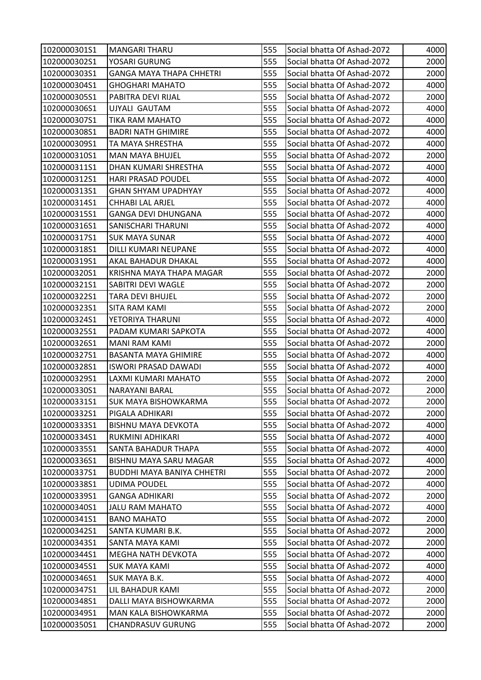| 1020000301S1 | <b>MANGARI THARU</b>              | 555 | Social bhatta Of Ashad-2072 | 4000 |
|--------------|-----------------------------------|-----|-----------------------------|------|
| 1020000302S1 | YOSARI GURUNG                     | 555 | Social bhatta Of Ashad-2072 | 2000 |
| 1020000303S1 | <b>GANGA MAYA THAPA CHHETRI</b>   | 555 | Social bhatta Of Ashad-2072 | 2000 |
| 1020000304S1 | GHOGHARI MAHATO                   | 555 | Social bhatta Of Ashad-2072 | 4000 |
| 1020000305S1 | PABITRA DEVI RIJAL                | 555 | Social bhatta Of Ashad-2072 | 2000 |
| 1020000306S1 | UJYALI GAUTAM                     | 555 | Social bhatta Of Ashad-2072 | 4000 |
| 1020000307S1 | <b>TIKA RAM MAHATO</b>            | 555 | Social bhatta Of Ashad-2072 | 4000 |
| 1020000308S1 | <b>BADRI NATH GHIMIRE</b>         | 555 | Social bhatta Of Ashad-2072 | 4000 |
| 1020000309S1 | TA MAYA SHRESTHA                  | 555 | Social bhatta Of Ashad-2072 | 4000 |
| 1020000310S1 | <b>MAN MAYA BHUJEL</b>            | 555 | Social bhatta Of Ashad-2072 | 2000 |
| 1020000311S1 | DHAN KUMARI SHRESTHA              | 555 | Social bhatta Of Ashad-2072 | 4000 |
| 1020000312S1 | <b>HARI PRASAD POUDEL</b>         | 555 | Social bhatta Of Ashad-2072 | 4000 |
| 1020000313S1 | GHAN SHYAM UPADHYAY               | 555 | Social bhatta Of Ashad-2072 | 4000 |
| 1020000314S1 | <b>CHHABI LAL ARJEL</b>           | 555 | Social bhatta Of Ashad-2072 | 4000 |
| 1020000315S1 | GANGA DEVI DHUNGANA               | 555 | Social bhatta Of Ashad-2072 | 4000 |
| 1020000316S1 | SANISCHARI THARUNI                | 555 | Social bhatta Of Ashad-2072 | 4000 |
| 1020000317S1 | <b>SUK MAYA SUNAR</b>             | 555 | Social bhatta Of Ashad-2072 | 4000 |
| 1020000318S1 | DILLI KUMARI NEUPANE              | 555 | Social bhatta Of Ashad-2072 | 4000 |
| 1020000319S1 | AKAL BAHADUR DHAKAL               | 555 | Social bhatta Of Ashad-2072 | 4000 |
| 1020000320S1 | KRISHNA MAYA THAPA MAGAR          | 555 | Social bhatta Of Ashad-2072 | 2000 |
| 1020000321S1 | SABITRI DEVI WAGLE                | 555 | Social bhatta Of Ashad-2072 | 2000 |
| 1020000322S1 | TARA DEVI BHUJEL                  | 555 | Social bhatta Of Ashad-2072 | 2000 |
| 1020000323S1 | <b>SITA RAM KAMI</b>              | 555 | Social bhatta Of Ashad-2072 | 2000 |
| 1020000324S1 | YETORIYA THARUNI                  | 555 | Social bhatta Of Ashad-2072 | 4000 |
| 1020000325S1 | PADAM KUMARI SAPKOTA              | 555 | Social bhatta Of Ashad-2072 | 4000 |
| 1020000326S1 | <b>MANI RAM KAMI</b>              | 555 | Social bhatta Of Ashad-2072 | 2000 |
| 1020000327S1 | <b>BASANTA MAYA GHIMIRE</b>       | 555 | Social bhatta Of Ashad-2072 | 4000 |
| 1020000328S1 | <b>ISWORI PRASAD DAWADI</b>       | 555 | Social bhatta Of Ashad-2072 | 4000 |
| 1020000329S1 | LAXMI KUMARI MAHATO               | 555 | Social bhatta Of Ashad-2072 | 2000 |
| 1020000330S1 | <b>NARAYANI BARAL</b>             | 555 | Social bhatta Of Ashad-2072 | 2000 |
| 1020000331S1 | <b>SUK MAYA BISHOWKARMA</b>       | 555 | Social bhatta Of Ashad-2072 | 2000 |
| 1020000332S1 | PIGALA ADHIKARI                   | 555 | Social bhatta Of Ashad-2072 | 2000 |
| 1020000333S1 | <b>BISHNU MAYA DEVKOTA</b>        | 555 | Social bhatta Of Ashad-2072 | 4000 |
| 1020000334S1 | RUKMINI ADHIKARI                  | 555 | Social bhatta Of Ashad-2072 | 4000 |
| 1020000335S1 | SANTA BAHADUR THAPA               | 555 | Social bhatta Of Ashad-2072 | 4000 |
| 1020000336S1 | <b>BISHNU MAYA SARU MAGAR</b>     | 555 | Social bhatta Of Ashad-2072 | 4000 |
| 1020000337S1 | <b>BUDDHI MAYA BANIYA CHHETRI</b> | 555 | Social bhatta Of Ashad-2072 | 2000 |
| 1020000338S1 | <b>UDIMA POUDEL</b>               | 555 | Social bhatta Of Ashad-2072 | 4000 |
| 1020000339S1 | GANGA ADHIKARI                    | 555 | Social bhatta Of Ashad-2072 | 2000 |
| 1020000340S1 | <b>JALU RAM MAHATO</b>            | 555 | Social bhatta Of Ashad-2072 | 4000 |
| 1020000341S1 | <b>BANO MAHATO</b>                | 555 | Social bhatta Of Ashad-2072 | 2000 |
| 1020000342S1 | SANTA KUMARI B.K.                 | 555 | Social bhatta Of Ashad-2072 | 2000 |
| 1020000343S1 | SANTA MAYA KAMI                   | 555 | Social bhatta Of Ashad-2072 | 2000 |
| 1020000344S1 | MEGHA NATH DEVKOTA                | 555 | Social bhatta Of Ashad-2072 | 4000 |
| 1020000345S1 | <b>SUK MAYA KAMI</b>              | 555 | Social bhatta Of Ashad-2072 | 4000 |
| 1020000346S1 | SUK MAYA B.K.                     | 555 | Social bhatta Of Ashad-2072 | 4000 |
| 1020000347S1 | LIL BAHADUR KAMI                  | 555 | Social bhatta Of Ashad-2072 | 2000 |
| 1020000348S1 | DALLI MAYA BISHOWKARMA            | 555 | Social bhatta Of Ashad-2072 | 2000 |
| 1020000349S1 | MAN KALA BISHOWKARMA              | 555 | Social bhatta Of Ashad-2072 | 2000 |
| 1020000350S1 | <b>CHANDRASUV GURUNG</b>          | 555 | Social bhatta Of Ashad-2072 | 2000 |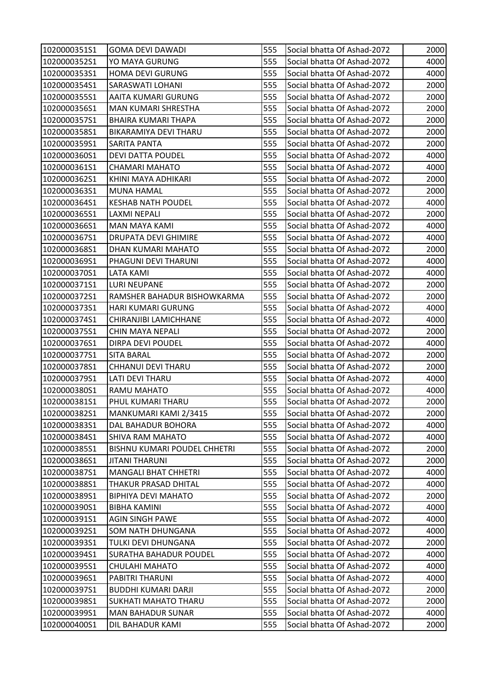| 1020000351S1 | <b>GOMA DEVI DAWADI</b>       | 555 | Social bhatta Of Ashad-2072 | 2000 |
|--------------|-------------------------------|-----|-----------------------------|------|
| 1020000352S1 | YO MAYA GURUNG                | 555 | Social bhatta Of Ashad-2072 | 4000 |
| 1020000353S1 | <b>HOMA DEVI GURUNG</b>       | 555 | Social bhatta Of Ashad-2072 | 4000 |
| 1020000354S1 | <b>SARASWATI LOHANI</b>       | 555 | Social bhatta Of Ashad-2072 | 2000 |
| 1020000355S1 | AAITA KUMARI GURUNG           | 555 | Social bhatta Of Ashad-2072 | 2000 |
| 1020000356S1 | <b>MAN KUMARI SHRESTHA</b>    | 555 | Social bhatta Of Ashad-2072 | 2000 |
| 1020000357S1 | <b>BHAIRA KUMARI THAPA</b>    | 555 | Social bhatta Of Ashad-2072 | 2000 |
| 1020000358S1 | BIKARAMIYA DEVI THARU         | 555 | Social bhatta Of Ashad-2072 | 2000 |
| 1020000359S1 | <b>SARITA PANTA</b>           | 555 | Social bhatta Of Ashad-2072 | 2000 |
| 1020000360S1 | <b>DEVI DATTA POUDEL</b>      | 555 | Social bhatta Of Ashad-2072 | 4000 |
| 1020000361S1 | CHAMARI MAHATO                | 555 | Social bhatta Of Ashad-2072 | 4000 |
| 1020000362S1 | KHINI MAYA ADHIKARI           | 555 | Social bhatta Of Ashad-2072 | 2000 |
| 1020000363S1 | MUNA HAMAL                    | 555 | Social bhatta Of Ashad-2072 | 2000 |
| 1020000364S1 | <b>KESHAB NATH POUDEL</b>     | 555 | Social bhatta Of Ashad-2072 | 4000 |
| 1020000365S1 | LAXMI NEPALI                  | 555 | Social bhatta Of Ashad-2072 | 2000 |
| 1020000366S1 | <b>MAN MAYA KAMI</b>          | 555 | Social bhatta Of Ashad-2072 | 4000 |
| 1020000367S1 | <b>DRUPATA DEVI GHIMIRE</b>   | 555 | Social bhatta Of Ashad-2072 | 4000 |
| 1020000368S1 | DHAN KUMARI MAHATO            | 555 | Social bhatta Of Ashad-2072 | 2000 |
| 1020000369S1 | PHAGUNI DEVI THARUNI          | 555 | Social bhatta Of Ashad-2072 | 4000 |
| 1020000370S1 | LATA KAMI                     | 555 | Social bhatta Of Ashad-2072 | 4000 |
| 1020000371S1 | <b>LURI NEUPANE</b>           | 555 | Social bhatta Of Ashad-2072 | 2000 |
| 1020000372S1 | RAMSHER BAHADUR BISHOWKARMA   | 555 | Social bhatta Of Ashad-2072 | 2000 |
| 1020000373S1 | HARI KUMARI GURUNG            | 555 | Social bhatta Of Ashad-2072 | 4000 |
| 1020000374S1 | CHIRANJIBI LAMICHHANE         | 555 | Social bhatta Of Ashad-2072 | 4000 |
| 1020000375S1 | CHIN MAYA NEPALI              | 555 | Social bhatta Of Ashad-2072 | 2000 |
| 1020000376S1 | <b>DIRPA DEVI POUDEL</b>      | 555 | Social bhatta Of Ashad-2072 | 4000 |
| 1020000377S1 | <b>SITA BARAL</b>             | 555 | Social bhatta Of Ashad-2072 | 2000 |
| 1020000378S1 | CHHANUI DEVI THARU            | 555 | Social bhatta Of Ashad-2072 | 2000 |
| 1020000379S1 | <b>LATI DEVI THARU</b>        | 555 | Social bhatta Of Ashad-2072 | 4000 |
| 1020000380S1 | RAMU MAHATO                   | 555 | Social bhatta Of Ashad-2072 | 4000 |
| 1020000381S1 | PHUL KUMARI THARU             | 555 | Social bhatta Of Ashad-2072 | 2000 |
| 1020000382S1 | MANKUMARI KAMI 2/3415         | 555 | Social bhatta Of Ashad-2072 | 2000 |
| 1020000383S1 | DAL BAHADUR BOHORA            | 555 | Social bhatta Of Ashad-2072 | 4000 |
| 1020000384S1 | SHIVA RAM MAHATO              | 555 | Social bhatta Of Ashad-2072 | 4000 |
| 1020000385S1 | BISHNU KUMARI POUDEL CHHETRI  | 555 | Social bhatta Of Ashad-2072 | 2000 |
| 1020000386S1 | <b>JITANI THARUNI</b>         | 555 | Social bhatta Of Ashad-2072 | 2000 |
| 1020000387S1 | <b>MANGALI BHAT CHHETRI</b>   | 555 | Social bhatta Of Ashad-2072 | 4000 |
| 1020000388S1 | THAKUR PRASAD DHITAL          | 555 | Social bhatta Of Ashad-2072 | 4000 |
| 1020000389S1 | <b>BIPHIYA DEVI MAHATO</b>    | 555 | Social bhatta Of Ashad-2072 | 2000 |
| 1020000390S1 | <b>BIBHA KAMINI</b>           | 555 | Social bhatta Of Ashad-2072 | 4000 |
| 1020000391S1 | <b>AGIN SINGH PAWE</b>        | 555 | Social bhatta Of Ashad-2072 | 4000 |
| 1020000392S1 | <b>SOM NATH DHUNGANA</b>      | 555 | Social bhatta Of Ashad-2072 | 4000 |
| 1020000393S1 | TULKI DEVI DHUNGANA           | 555 | Social bhatta Of Ashad-2072 | 2000 |
| 1020000394S1 | <b>SURATHA BAHADUR POUDEL</b> | 555 | Social bhatta Of Ashad-2072 | 4000 |
| 1020000395S1 | CHULAHI MAHATO                | 555 | Social bhatta Of Ashad-2072 | 4000 |
| 1020000396S1 | PABITRI THARUNI               | 555 | Social bhatta Of Ashad-2072 | 4000 |
| 1020000397S1 | <b>BUDDHI KUMARI DARJI</b>    | 555 | Social bhatta Of Ashad-2072 | 2000 |
| 1020000398S1 | SUKHATI MAHATO THARU          | 555 | Social bhatta Of Ashad-2072 | 2000 |
| 1020000399S1 | <b>MAN BAHADUR SUNAR</b>      | 555 | Social bhatta Of Ashad-2072 | 4000 |
| 1020000400S1 | DIL BAHADUR KAMI              | 555 | Social bhatta Of Ashad-2072 | 2000 |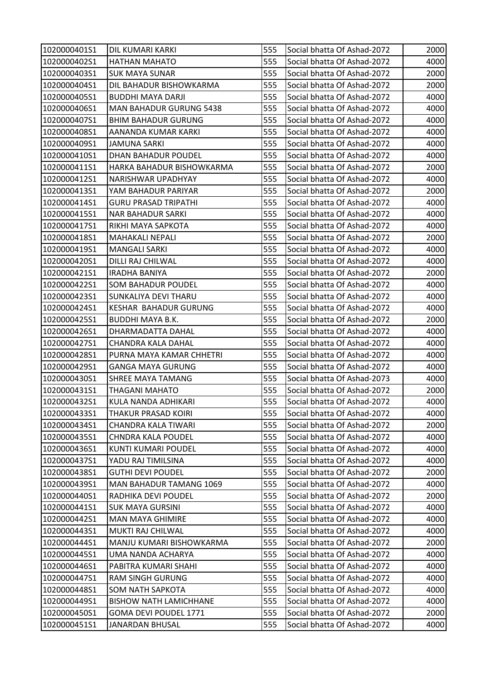| 1020000401S1 | <b>DIL KUMARI KARKI</b>        | 555 | Social bhatta Of Ashad-2072 | 2000 |
|--------------|--------------------------------|-----|-----------------------------|------|
| 1020000402S1 | <b>HATHAN MAHATO</b>           | 555 | Social bhatta Of Ashad-2072 | 4000 |
| 1020000403S1 | <b>SUK MAYA SUNAR</b>          | 555 | Social bhatta Of Ashad-2072 | 2000 |
| 1020000404S1 | DIL BAHADUR BISHOWKARMA        | 555 | Social bhatta Of Ashad-2072 | 2000 |
| 1020000405S1 | BUDDHI MAYA DARJI              | 555 | Social bhatta Of Ashad-2072 | 4000 |
| 1020000406S1 | <b>MAN BAHADUR GURUNG 5438</b> | 555 | Social bhatta Of Ashad-2072 | 4000 |
| 1020000407S1 | <b>BHIM BAHADUR GURUNG</b>     | 555 | Social bhatta Of Ashad-2072 | 4000 |
| 1020000408S1 | AANANDA KUMAR KARKI            | 555 | Social bhatta Of Ashad-2072 | 4000 |
| 1020000409S1 | <b>JAMUNA SARKI</b>            | 555 | Social bhatta Of Ashad-2072 | 4000 |
| 1020000410S1 | DHAN BAHADUR POUDEL            | 555 | Social bhatta Of Ashad-2072 | 4000 |
| 1020000411S1 | HARKA BAHADUR BISHOWKARMA      | 555 | Social bhatta Of Ashad-2072 | 2000 |
| 1020000412S1 | NARISHWAR UPADHYAY             | 555 | Social bhatta Of Ashad-2072 | 4000 |
| 1020000413S1 | YAM BAHADUR PARIYAR            | 555 | Social bhatta Of Ashad-2072 | 2000 |
| 1020000414S1 | <b>GURU PRASAD TRIPATHI</b>    | 555 | Social bhatta Of Ashad-2072 | 4000 |
| 1020000415S1 | <b>NAR BAHADUR SARKI</b>       | 555 | Social bhatta Of Ashad-2072 | 4000 |
| 1020000417S1 | RIKHI MAYA SAPKOTA             | 555 | Social bhatta Of Ashad-2072 | 4000 |
| 1020000418S1 | <b>MAHAKALI NEPALI</b>         | 555 | Social bhatta Of Ashad-2072 | 2000 |
| 1020000419S1 | <b>MANGALI SARKI</b>           | 555 | Social bhatta Of Ashad-2072 | 4000 |
| 1020000420S1 | DILLI RAJ CHILWAL              | 555 | Social bhatta Of Ashad-2072 | 4000 |
| 1020000421S1 | <b>IRADHA BANIYA</b>           | 555 | Social bhatta Of Ashad-2072 | 2000 |
| 1020000422S1 | <b>SOM BAHADUR POUDEL</b>      | 555 | Social bhatta Of Ashad-2072 | 4000 |
| 1020000423S1 | SUNKALIYA DEVI THARU           | 555 | Social bhatta Of Ashad-2072 | 4000 |
| 1020000424S1 | KESHAR BAHADUR GURUNG          | 555 | Social bhatta Of Ashad-2072 | 4000 |
| 1020000425S1 | <b>BUDDHI MAYA B.K.</b>        | 555 | Social bhatta Of Ashad-2072 | 2000 |
| 1020000426S1 | DHARMADATTA DAHAL              | 555 | Social bhatta Of Ashad-2072 | 4000 |
| 1020000427S1 | CHANDRA KALA DAHAL             | 555 | Social bhatta Of Ashad-2072 | 4000 |
| 1020000428S1 | PURNA MAYA KAMAR CHHETRI       | 555 | Social bhatta Of Ashad-2072 | 4000 |
| 1020000429S1 | <b>GANGA MAYA GURUNG</b>       | 555 | Social bhatta Of Ashad-2072 | 4000 |
| 1020000430S1 | <b>SHREE MAYA TAMANG</b>       | 555 | Social bhatta Of Ashad-2073 | 4000 |
| 1020000431S1 | <b>THAGANI MAHATO</b>          | 555 | Social bhatta Of Ashad-2072 | 2000 |
| 1020000432S1 | KULA NANDA ADHIKARI            | 555 | Social bhatta Of Ashad-2072 | 4000 |
| 1020000433S1 | THAKUR PRASAD KOIRI            | 555 | Social bhatta Of Ashad-2072 | 4000 |
| 1020000434S1 | CHANDRA KALA TIWARI            | 555 | Social bhatta Of Ashad-2072 | 2000 |
| 1020000435S1 | <b>CHNDRA KALA POUDEL</b>      | 555 | Social bhatta Of Ashad-2072 | 4000 |
| 1020000436S1 | KUNTI KUMARI POUDEL            | 555 | Social bhatta Of Ashad-2072 | 4000 |
| 1020000437S1 | YADU RAJ TIMILSINA             | 555 | Social bhatta Of Ashad-2072 | 4000 |
| 1020000438S1 | <b>GUTHI DEVI POUDEL</b>       | 555 | Social bhatta Of Ashad-2072 | 2000 |
| 1020000439S1 | <b>MAN BAHADUR TAMANG 1069</b> | 555 | Social bhatta Of Ashad-2072 | 4000 |
| 1020000440S1 | RADHIKA DEVI POUDEL            | 555 | Social bhatta Of Ashad-2072 | 2000 |
| 1020000441S1 | <b>SUK MAYA GURSINI</b>        | 555 | Social bhatta Of Ashad-2072 | 4000 |
| 1020000442S1 | <b>MAN MAYA GHIMIRE</b>        | 555 | Social bhatta Of Ashad-2072 | 4000 |
| 1020000443S1 | MUKTI RAJ CHILWAL              | 555 | Social bhatta Of Ashad-2072 | 4000 |
| 1020000444S1 | MANJU KUMARI BISHOWKARMA       | 555 | Social bhatta Of Ashad-2072 | 2000 |
| 1020000445S1 | UMA NANDA ACHARYA              | 555 | Social bhatta Of Ashad-2072 | 4000 |
| 1020000446S1 | PABITRA KUMARI SHAHI           | 555 | Social bhatta Of Ashad-2072 | 4000 |
| 1020000447S1 | <b>RAM SINGH GURUNG</b>        | 555 | Social bhatta Of Ashad-2072 | 4000 |
| 1020000448S1 | <b>SOM NATH SAPKOTA</b>        | 555 | Social bhatta Of Ashad-2072 | 4000 |
| 1020000449S1 | <b>BISHOW NATH LAMICHHANE</b>  | 555 | Social bhatta Of Ashad-2072 | 4000 |
| 1020000450S1 | GOMA DEVI POUDEL 1771          | 555 | Social bhatta Of Ashad-2072 | 2000 |
| 1020000451S1 | <b>JANARDAN BHUSAL</b>         | 555 | Social bhatta Of Ashad-2072 | 4000 |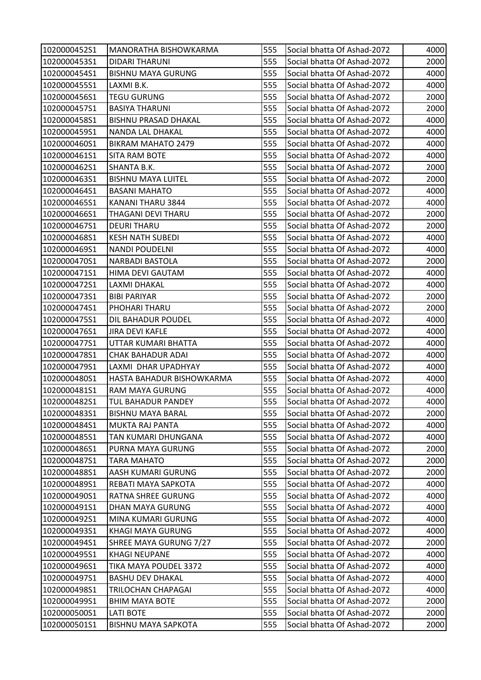| 1020000452S1 | <b>MANORATHA BISHOWKARMA</b> | 555 | Social bhatta Of Ashad-2072 | 4000 |
|--------------|------------------------------|-----|-----------------------------|------|
| 1020000453S1 | <b>DIDARI THARUNI</b>        | 555 | Social bhatta Of Ashad-2072 | 2000 |
| 1020000454S1 | <b>BISHNU MAYA GURUNG</b>    | 555 | Social bhatta Of Ashad-2072 | 4000 |
| 1020000455S1 | LAXMI B.K.                   | 555 | Social bhatta Of Ashad-2072 | 4000 |
| 1020000456S1 | <b>TEGU GURUNG</b>           | 555 | Social bhatta Of Ashad-2072 | 2000 |
| 1020000457S1 | <b>BASIYA THARUNI</b>        | 555 | Social bhatta Of Ashad-2072 | 2000 |
| 1020000458S1 | <b>BISHNU PRASAD DHAKAL</b>  | 555 | Social bhatta Of Ashad-2072 | 4000 |
| 1020000459S1 | NANDA LAL DHAKAL             | 555 | Social bhatta Of Ashad-2072 | 4000 |
| 1020000460S1 | <b>BIKRAM MAHATO 2479</b>    | 555 | Social bhatta Of Ashad-2072 | 4000 |
| 1020000461S1 | SITA RAM BOTE                | 555 | Social bhatta Of Ashad-2072 | 4000 |
| 1020000462S1 | SHANTA B.K.                  | 555 | Social bhatta Of Ashad-2072 | 2000 |
| 1020000463S1 | <b>BISHNU MAYA LUITEL</b>    | 555 | Social bhatta Of Ashad-2072 | 2000 |
| 1020000464S1 | <b>BASANI MAHATO</b>         | 555 | Social bhatta Of Ashad-2072 | 4000 |
| 1020000465S1 | KANANI THARU 3844            | 555 | Social bhatta Of Ashad-2072 | 4000 |
| 1020000466S1 | THAGANI DEVI THARU           | 555 | Social bhatta Of Ashad-2072 | 2000 |
| 1020000467S1 | <b>DEURI THARU</b>           | 555 | Social bhatta Of Ashad-2072 | 2000 |
| 1020000468S1 | <b>KESH NATH SUBEDI</b>      | 555 | Social bhatta Of Ashad-2072 | 4000 |
| 1020000469S1 | <b>NANDI POUDELNI</b>        | 555 | Social bhatta Of Ashad-2072 | 4000 |
| 1020000470S1 | <b>NARBADI BASTOLA</b>       | 555 | Social bhatta Of Ashad-2072 | 2000 |
| 1020000471S1 | HIMA DEVI GAUTAM             | 555 | Social bhatta Of Ashad-2072 | 4000 |
| 1020000472S1 | LAXMI DHAKAL                 | 555 | Social bhatta Of Ashad-2072 | 4000 |
| 1020000473S1 | <b>BIBI PARIYAR</b>          | 555 | Social bhatta Of Ashad-2072 | 2000 |
| 1020000474S1 | PHOHARI THARU                | 555 | Social bhatta Of Ashad-2072 | 2000 |
| 1020000475S1 | DIL BAHADUR POUDEL           | 555 | Social bhatta Of Ashad-2072 | 4000 |
| 1020000476S1 | <b>JIRA DEVI KAFLE</b>       | 555 | Social bhatta Of Ashad-2072 | 4000 |
| 1020000477S1 | UTTAR KUMARI BHATTA          | 555 | Social bhatta Of Ashad-2072 | 4000 |
| 1020000478S1 | CHAK BAHADUR ADAI            | 555 | Social bhatta Of Ashad-2072 | 4000 |
| 1020000479S1 | LAXMI DHAR UPADHYAY          | 555 | Social bhatta Of Ashad-2072 | 4000 |
| 1020000480S1 | HASTA BAHADUR BISHOWKARMA    | 555 | Social bhatta Of Ashad-2072 | 4000 |
| 1020000481S1 | <b>RAM MAYA GURUNG</b>       | 555 | Social bhatta Of Ashad-2072 | 4000 |
| 1020000482S1 | TUL BAHADUR PANDEY           | 555 | Social bhatta Of Ashad-2072 | 4000 |
| 1020000483S1 | <b>BISHNU MAYA BARAL</b>     | 555 | Social bhatta Of Ashad-2072 | 2000 |
| 1020000484S1 | <b>MUKTA RAJ PANTA</b>       | 555 | Social bhatta Of Ashad-2072 | 4000 |
| 1020000485S1 | TAN KUMARI DHUNGANA          | 555 | Social bhatta Of Ashad-2072 | 4000 |
| 1020000486S1 | PURNA MAYA GURUNG            | 555 | Social bhatta Of Ashad-2072 | 2000 |
| 1020000487S1 | <b>TARA MAHATO</b>           | 555 | Social bhatta Of Ashad-2072 | 2000 |
| 1020000488S1 | AASH KUMARI GURUNG           | 555 | Social bhatta Of Ashad-2072 | 2000 |
| 1020000489S1 | REBATI MAYA SAPKOTA          | 555 | Social bhatta Of Ashad-2072 | 4000 |
| 1020000490S1 | RATNA SHREE GURUNG           | 555 | Social bhatta Of Ashad-2072 | 4000 |
| 1020000491S1 | <b>DHAN MAYA GURUNG</b>      | 555 | Social bhatta Of Ashad-2072 | 4000 |
| 1020000492S1 | MINA KUMARI GURUNG           | 555 | Social bhatta Of Ashad-2072 | 4000 |
| 1020000493S1 | KHAGI MAYA GURUNG            | 555 | Social bhatta Of Ashad-2072 | 4000 |
| 1020000494S1 | SHREE MAYA GURUNG 7/27       | 555 | Social bhatta Of Ashad-2072 | 2000 |
| 1020000495S1 | <b>KHAGI NEUPANE</b>         | 555 | Social bhatta Of Ashad-2072 | 4000 |
| 1020000496S1 | TIKA MAYA POUDEL 3372        | 555 | Social bhatta Of Ashad-2072 | 4000 |
| 1020000497S1 | <b>BASHU DEV DHAKAL</b>      | 555 | Social bhatta Of Ashad-2072 | 4000 |
| 1020000498S1 | TRILOCHAN CHAPAGAI           | 555 | Social bhatta Of Ashad-2072 | 4000 |
| 1020000499S1 | <b>BHIM MAYA BOTE</b>        | 555 | Social bhatta Of Ashad-2072 | 2000 |
| 1020000500S1 | <b>LATI BOTE</b>             | 555 | Social bhatta Of Ashad-2072 | 2000 |
| 1020000501S1 | <b>BISHNU MAYA SAPKOTA</b>   | 555 | Social bhatta Of Ashad-2072 | 2000 |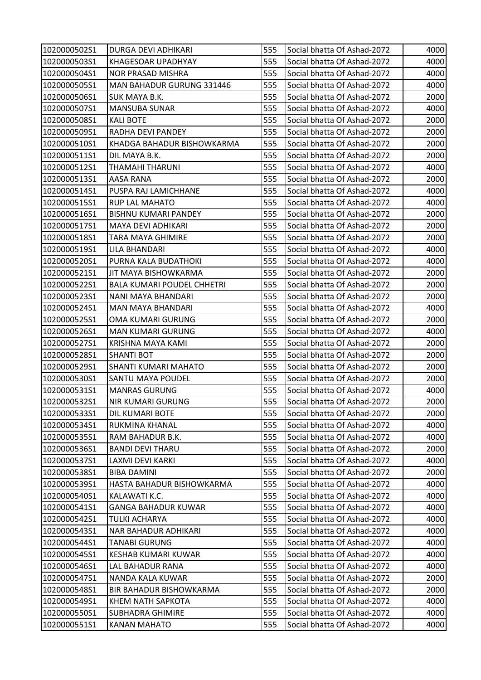| 1020000502S1 | <b>DURGA DEVI ADHIKARI</b>        | 555 | Social bhatta Of Ashad-2072 | 4000 |
|--------------|-----------------------------------|-----|-----------------------------|------|
| 1020000503S1 | <b>KHAGESOAR UPADHYAY</b>         | 555 | Social bhatta Of Ashad-2072 | 4000 |
| 1020000504S1 | <b>NOR PRASAD MISHRA</b>          | 555 | Social bhatta Of Ashad-2072 | 4000 |
| 1020000505S1 | MAN BAHADUR GURUNG 331446         | 555 | Social bhatta Of Ashad-2072 | 4000 |
| 1020000506S1 | SUK MAYA B.K.                     | 555 | Social bhatta Of Ashad-2072 | 2000 |
| 1020000507S1 | <b>MANSUBA SUNAR</b>              | 555 | Social bhatta Of Ashad-2072 | 4000 |
| 1020000508S1 | <b>KALI BOTE</b>                  | 555 | Social bhatta Of Ashad-2072 | 2000 |
| 1020000509S1 | RADHA DEVI PANDEY                 | 555 | Social bhatta Of Ashad-2072 | 2000 |
| 1020000510S1 | KHADGA BAHADUR BISHOWKARMA        | 555 | Social bhatta Of Ashad-2072 | 2000 |
| 1020000511S1 | DIL MAYA B.K.                     | 555 | Social bhatta Of Ashad-2072 | 2000 |
| 1020000512S1 | <b>THAMAHI THARUNI</b>            | 555 | Social bhatta Of Ashad-2072 | 4000 |
| 1020000513S1 | AASA RANA                         | 555 | Social bhatta Of Ashad-2072 | 2000 |
| 1020000514S1 | PUSPA RAJ LAMICHHANE              | 555 | Social bhatta Of Ashad-2072 | 4000 |
| 1020000515S1 | <b>RUP LAL MAHATO</b>             | 555 | Social bhatta Of Ashad-2072 | 4000 |
| 1020000516S1 | <b>BISHNU KUMARI PANDEY</b>       | 555 | Social bhatta Of Ashad-2072 | 2000 |
| 1020000517S1 | MAYA DEVI ADHIKARI                | 555 | Social bhatta Of Ashad-2072 | 2000 |
| 1020000518S1 | TARA MAYA GHIMIRE                 | 555 | Social bhatta Of Ashad-2072 | 2000 |
| 1020000519S1 | LILA BHANDARI                     | 555 | Social bhatta Of Ashad-2072 | 4000 |
| 1020000520S1 | PURNA KALA BUDATHOKI              | 555 | Social bhatta Of Ashad-2072 | 4000 |
| 1020000521S1 | JIT MAYA BISHOWKARMA              | 555 | Social bhatta Of Ashad-2072 | 2000 |
| 1020000522S1 | <b>BALA KUMARI POUDEL CHHETRI</b> | 555 | Social bhatta Of Ashad-2072 | 2000 |
| 1020000523S1 | NANI MAYA BHANDARI                | 555 | Social bhatta Of Ashad-2072 | 2000 |
| 1020000524S1 | <b>MAN MAYA BHANDARI</b>          | 555 | Social bhatta Of Ashad-2072 | 4000 |
| 1020000525S1 | OMA KUMARI GURUNG                 | 555 | Social bhatta Of Ashad-2072 | 2000 |
| 1020000526S1 | <b>MAN KUMARI GURUNG</b>          | 555 | Social bhatta Of Ashad-2072 | 4000 |
| 1020000527S1 | KRISHNA MAYA KAMI                 | 555 | Social bhatta Of Ashad-2072 | 2000 |
| 1020000528S1 | SHANTI BOT                        | 555 | Social bhatta Of Ashad-2072 | 2000 |
| 1020000529S1 | <b>SHANTI KUMARI MAHATO</b>       | 555 | Social bhatta Of Ashad-2072 | 2000 |
| 1020000530S1 | <b>SANTU MAYA POUDEL</b>          | 555 | Social bhatta Of Ashad-2072 | 2000 |
| 1020000531S1 | <b>MANRAS GURUNG</b>              | 555 | Social bhatta Of Ashad-2072 | 4000 |
| 1020000532S1 | <b>NIR KUMARI GURUNG</b>          | 555 | Social bhatta Of Ashad-2072 | 2000 |
| 1020000533S1 | <b>DIL KUMARI BOTE</b>            | 555 | Social bhatta Of Ashad-2072 | 2000 |
| 1020000534S1 | RUKMINA KHANAL                    | 555 | Social bhatta Of Ashad-2072 | 4000 |
| 1020000535S1 | RAM BAHADUR B.K.                  | 555 | Social bhatta Of Ashad-2072 | 4000 |
| 1020000536S1 | <b>BANDI DEVI THARU</b>           | 555 | Social bhatta Of Ashad-2072 | 2000 |
| 1020000537S1 | LAXMI DEVI KARKI                  | 555 | Social bhatta Of Ashad-2072 | 4000 |
| 1020000538S1 | <b>BIBA DAMINI</b>                | 555 | Social bhatta Of Ashad-2072 | 2000 |
| 1020000539S1 | HASTA BAHADUR BISHOWKARMA         | 555 | Social bhatta Of Ashad-2072 | 4000 |
| 1020000540S1 | KALAWATI K.C.                     | 555 | Social bhatta Of Ashad-2072 | 4000 |
| 1020000541S1 | <b>GANGA BAHADUR KUWAR</b>        | 555 | Social bhatta Of Ashad-2072 | 4000 |
| 1020000542S1 | TULKI ACHARYA                     | 555 | Social bhatta Of Ashad-2072 | 4000 |
| 1020000543S1 | NAR BAHADUR ADHIKARI              | 555 | Social bhatta Of Ashad-2072 | 4000 |
| 1020000544S1 | <b>TANABI GURUNG</b>              | 555 | Social bhatta Of Ashad-2072 | 4000 |
| 1020000545S1 | KESHAB KUMARI KUWAR               | 555 | Social bhatta Of Ashad-2072 | 4000 |
| 1020000546S1 | LAL BAHADUR RANA                  | 555 | Social bhatta Of Ashad-2072 | 4000 |
| 1020000547S1 | NANDA KALA KUWAR                  | 555 | Social bhatta Of Ashad-2072 | 2000 |
| 1020000548S1 | <b>BIR BAHADUR BISHOWKARMA</b>    | 555 | Social bhatta Of Ashad-2072 | 2000 |
| 1020000549S1 | KHEM NATH SAPKOTA                 | 555 | Social bhatta Of Ashad-2072 | 4000 |
| 1020000550S1 | <b>SUBHADRA GHIMIRE</b>           | 555 | Social bhatta Of Ashad-2072 | 4000 |
| 1020000551S1 | <b>KANAN MAHATO</b>               | 555 | Social bhatta Of Ashad-2072 | 4000 |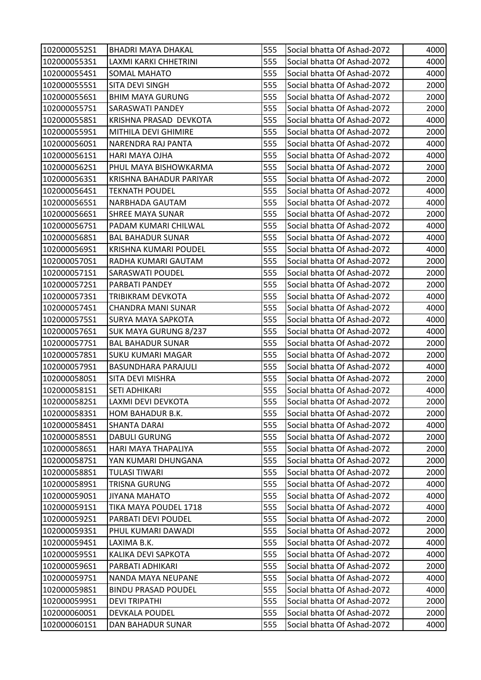| 1020000552S1 | <b>BHADRI MAYA DHAKAL</b>    | 555 | Social bhatta Of Ashad-2072 | 4000 |
|--------------|------------------------------|-----|-----------------------------|------|
| 1020000553S1 | LAXMI KARKI CHHETRINI        | 555 | Social bhatta Of Ashad-2072 | 4000 |
| 1020000554S1 | SOMAL MAHATO                 | 555 | Social bhatta Of Ashad-2072 | 4000 |
| 102000055551 | <b>SITA DEVI SINGH</b>       | 555 | Social bhatta Of Ashad-2072 | 2000 |
| 1020000556S1 | <b>BHIM MAYA GURUNG</b>      | 555 | Social bhatta Of Ashad-2072 | 2000 |
| 1020000557S1 | SARASWATI PANDEY             | 555 | Social bhatta Of Ashad-2072 | 2000 |
| 1020000558S1 | KRISHNA PRASAD DEVKOTA       | 555 | Social bhatta Of Ashad-2072 | 4000 |
| 1020000559S1 | MITHILA DEVI GHIMIRE         | 555 | Social bhatta Of Ashad-2072 | 2000 |
| 1020000560S1 | NARENDRA RAJ PANTA           | 555 | Social bhatta Of Ashad-2072 | 4000 |
| 1020000561S1 | HARI MAYA OJHA               | 555 | Social bhatta Of Ashad-2072 | 4000 |
| 1020000562S1 | PHUL MAYA BISHOWKARMA        | 555 | Social bhatta Of Ashad-2072 | 2000 |
| 1020000563S1 | KRISHNA BAHADUR PARIYAR      | 555 | Social bhatta Of Ashad-2072 | 2000 |
| 1020000564S1 | <b>TEKNATH POUDEL</b>        | 555 | Social bhatta Of Ashad-2072 | 4000 |
| 1020000565S1 | NARBHADA GAUTAM              | 555 | Social bhatta Of Ashad-2072 | 4000 |
| 1020000566S1 | SHREE MAYA SUNAR             | 555 | Social bhatta Of Ashad-2072 | 2000 |
| 1020000567S1 | PADAM KUMARI CHILWAL         | 555 | Social bhatta Of Ashad-2072 | 4000 |
| 1020000568S1 | <b>BAL BAHADUR SUNAR</b>     | 555 | Social bhatta Of Ashad-2072 | 4000 |
| 1020000569S1 | <b>KRISHNA KUMARI POUDEL</b> | 555 | Social bhatta Of Ashad-2072 | 4000 |
| 1020000570S1 | RADHA KUMARI GAUTAM          | 555 | Social bhatta Of Ashad-2072 | 2000 |
| 1020000571S1 | SARASWATI POUDEL             | 555 | Social bhatta Of Ashad-2072 | 2000 |
| 1020000572S1 | PARBATI PANDEY               | 555 | Social bhatta Of Ashad-2072 | 2000 |
| 1020000573S1 | TRIBIKRAM DEVKOTA            | 555 | Social bhatta Of Ashad-2072 | 4000 |
| 1020000574S1 | CHANDRA MANI SUNAR           | 555 | Social bhatta Of Ashad-2072 | 4000 |
| 1020000575S1 | <b>SURYA MAYA SAPKOTA</b>    | 555 | Social bhatta Of Ashad-2072 | 4000 |
| 1020000576S1 | <b>SUK MAYA GURUNG 8/237</b> | 555 | Social bhatta Of Ashad-2072 | 4000 |
| 1020000577S1 | <b>BAL BAHADUR SUNAR</b>     | 555 | Social bhatta Of Ashad-2072 | 2000 |
| 1020000578S1 | <b>SUKU KUMARI MAGAR</b>     | 555 | Social bhatta Of Ashad-2072 | 2000 |
| 1020000579S1 | <b>BASUNDHARA PARAJULI</b>   | 555 | Social bhatta Of Ashad-2072 | 4000 |
| 1020000580S1 | SITA DEVI MISHRA             | 555 | Social bhatta Of Ashad-2072 | 2000 |
| 1020000581S1 | <b>SETI ADHIKARI</b>         | 555 | Social bhatta Of Ashad-2072 | 4000 |
| 1020000582S1 | LAXMI DEVI DEVKOTA           | 555 | Social bhatta Of Ashad-2072 | 2000 |
| 1020000583S1 | HOM BAHADUR B.K.             | 555 | Social bhatta Of Ashad-2072 | 2000 |
| 1020000584S1 | <b>SHANTA DARAI</b>          | 555 | Social bhatta Of Ashad-2072 | 4000 |
| 1020000585S1 | <b>DABULI GURUNG</b>         | 555 | Social bhatta Of Ashad-2072 | 2000 |
| 1020000586S1 | HARI MAYA THAPALIYA          | 555 | Social bhatta Of Ashad-2072 | 2000 |
| 1020000587S1 | YAN KUMARI DHUNGANA          | 555 | Social bhatta Of Ashad-2072 | 2000 |
| 1020000588S1 | <b>TULASI TIWARI</b>         | 555 | Social bhatta Of Ashad-2072 | 2000 |
| 1020000589S1 | <b>TRISNA GURUNG</b>         | 555 | Social bhatta Of Ashad-2072 | 4000 |
| 1020000590S1 | JIYANA MAHATO                | 555 | Social bhatta Of Ashad-2072 | 4000 |
| 1020000591S1 | TIKA MAYA POUDEL 1718        | 555 | Social bhatta Of Ashad-2072 | 4000 |
| 1020000592S1 | PARBATI DEVI POUDEL          | 555 | Social bhatta Of Ashad-2072 | 2000 |
| 1020000593S1 | PHUL KUMARI DAWADI           | 555 | Social bhatta Of Ashad-2072 | 2000 |
| 1020000594S1 | LAXIMA B.K.                  | 555 | Social bhatta Of Ashad-2072 | 4000 |
| 1020000595S1 | KALIKA DEVI SAPKOTA          | 555 | Social bhatta Of Ashad-2072 | 4000 |
| 1020000596S1 | PARBATI ADHIKARI             | 555 | Social bhatta Of Ashad-2072 | 2000 |
| 1020000597S1 | NANDA MAYA NEUPANE           | 555 | Social bhatta Of Ashad-2072 | 4000 |
| 1020000598S1 | <b>BINDU PRASAD POUDEL</b>   | 555 | Social bhatta Of Ashad-2072 | 4000 |
| 1020000599S1 | <b>DEVI TRIPATHI</b>         | 555 | Social bhatta Of Ashad-2072 | 2000 |
| 1020000600S1 | <b>DEVKALA POUDEL</b>        | 555 | Social bhatta Of Ashad-2072 | 2000 |
| 1020000601S1 | DAN BAHADUR SUNAR            | 555 | Social bhatta Of Ashad-2072 | 4000 |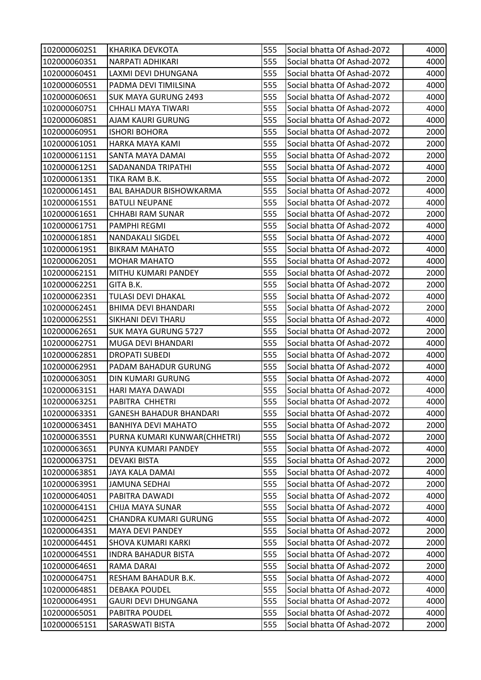| 1020000602S1 | <b>KHARIKA DEVKOTA</b>         | 555 | Social bhatta Of Ashad-2072 | 4000 |
|--------------|--------------------------------|-----|-----------------------------|------|
| 1020000603S1 | <b>NARPATI ADHIKARI</b>        | 555 | Social bhatta Of Ashad-2072 | 4000 |
| 1020000604S1 | LAXMI DEVI DHUNGANA            | 555 | Social bhatta Of Ashad-2072 | 4000 |
| 1020000605S1 | PADMA DEVI TIMILSINA           | 555 | Social bhatta Of Ashad-2072 | 4000 |
| 1020000606S1 | <b>SUK MAYA GURUNG 2493</b>    | 555 | Social bhatta Of Ashad-2072 | 4000 |
| 1020000607S1 | CHHALI MAYA TIWARI             | 555 | Social bhatta Of Ashad-2072 | 4000 |
| 1020000608S1 | AJAM KAURI GURUNG              | 555 | Social bhatta Of Ashad-2072 | 4000 |
| 1020000609S1 | <b>ISHORI BOHORA</b>           | 555 | Social bhatta Of Ashad-2072 | 2000 |
| 1020000610S1 | HARKA MAYA KAMI                | 555 | Social bhatta Of Ashad-2072 | 2000 |
| 1020000611S1 | SANTA MAYA DAMAI               | 555 | Social bhatta Of Ashad-2072 | 2000 |
| 1020000612S1 | SADANANDA TRIPATHI             | 555 | Social bhatta Of Ashad-2072 | 4000 |
| 1020000613S1 | TIKA RAM B.K.                  | 555 | Social bhatta Of Ashad-2072 | 2000 |
| 1020000614S1 | <b>BAL BAHADUR BISHOWKARMA</b> | 555 | Social bhatta Of Ashad-2072 | 4000 |
| 1020000615S1 | <b>BATULI NEUPANE</b>          | 555 | Social bhatta Of Ashad-2072 | 4000 |
| 1020000616S1 | CHHABI RAM SUNAR               | 555 | Social bhatta Of Ashad-2072 | 2000 |
| 1020000617S1 | <b>PAMPHI REGMI</b>            | 555 | Social bhatta Of Ashad-2072 | 4000 |
| 1020000618S1 | NANDAKALI SIGDEL               | 555 | Social bhatta Of Ashad-2072 | 4000 |
| 1020000619S1 | <b>BIKRAM MAHATO</b>           | 555 | Social bhatta Of Ashad-2072 | 4000 |
| 1020000620S1 | <b>MOHAR MAHATO</b>            | 555 | Social bhatta Of Ashad-2072 | 4000 |
| 1020000621S1 | MITHU KUMARI PANDEY            | 555 | Social bhatta Of Ashad-2072 | 2000 |
| 1020000622S1 | GITA B.K.                      | 555 | Social bhatta Of Ashad-2072 | 2000 |
| 1020000623S1 | TULASI DEVI DHAKAL             | 555 | Social bhatta Of Ashad-2072 | 4000 |
| 1020000624S1 | <b>BHIMA DEVI BHANDARI</b>     | 555 | Social bhatta Of Ashad-2072 | 2000 |
| 1020000625S1 | SIKHANI DEVI THARU             | 555 | Social bhatta Of Ashad-2072 | 4000 |
| 1020000626S1 | <b>SUK MAYA GURUNG 5727</b>    | 555 | Social bhatta Of Ashad-2072 | 2000 |
| 1020000627S1 | <b>MUGA DEVI BHANDARI</b>      | 555 | Social bhatta Of Ashad-2072 | 4000 |
| 1020000628S1 | <b>DROPATI SUBEDI</b>          | 555 | Social bhatta Of Ashad-2072 | 4000 |
| 1020000629S1 | PADAM BAHADUR GURUNG           | 555 | Social bhatta Of Ashad-2072 | 4000 |
| 1020000630S1 | DIN KUMARI GURUNG              | 555 | Social bhatta Of Ashad-2072 | 4000 |
| 1020000631S1 | HARI MAYA DAWADI               | 555 | Social bhatta Of Ashad-2072 | 4000 |
| 1020000632S1 | PABITRA CHHETRI                | 555 | Social bhatta Of Ashad-2072 | 4000 |
| 1020000633S1 | <b>GANESH BAHADUR BHANDARI</b> | 555 | Social bhatta Of Ashad-2072 | 4000 |
| 1020000634S1 | <b>BANHIYA DEVI MAHATO</b>     | 555 | Social bhatta Of Ashad-2072 | 2000 |
| 1020000635S1 | PURNA KUMARI KUNWAR(CHHETRI)   | 555 | Social bhatta Of Ashad-2072 | 2000 |
| 1020000636S1 | PUNYA KUMARI PANDEY            | 555 | Social bhatta Of Ashad-2072 | 4000 |
| 1020000637S1 | <b>DEVAKI BISTA</b>            | 555 | Social bhatta Of Ashad-2072 | 2000 |
| 1020000638S1 | <b>JAYA KALA DAMAI</b>         | 555 | Social bhatta Of Ashad-2072 | 4000 |
| 1020000639S1 | <b>JAMUNA SEDHAI</b>           | 555 | Social bhatta Of Ashad-2072 | 2000 |
| 1020000640S1 | PABITRA DAWADI                 | 555 | Social bhatta Of Ashad-2072 | 4000 |
| 1020000641S1 | CHIJA MAYA SUNAR               | 555 | Social bhatta Of Ashad-2072 | 4000 |
| 1020000642S1 | CHANDRA KUMARI GURUNG          | 555 | Social bhatta Of Ashad-2072 | 4000 |
| 1020000643S1 | MAYA DEVI PANDEY               | 555 | Social bhatta Of Ashad-2072 | 2000 |
| 1020000644S1 | <b>SHOVA KUMARI KARKI</b>      | 555 | Social bhatta Of Ashad-2072 | 2000 |
| 1020000645S1 | <b>INDRA BAHADUR BISTA</b>     | 555 | Social bhatta Of Ashad-2072 | 4000 |
| 1020000646S1 | RAMA DARAI                     | 555 | Social bhatta Of Ashad-2072 | 2000 |
| 1020000647S1 | RESHAM BAHADUR B.K.            | 555 | Social bhatta Of Ashad-2072 | 4000 |
| 1020000648S1 | DEBAKA POUDEL                  | 555 | Social bhatta Of Ashad-2072 | 4000 |
| 1020000649S1 | <b>GAURI DEVI DHUNGANA</b>     | 555 | Social bhatta Of Ashad-2072 | 4000 |
| 1020000650S1 | <b>PABITRA POUDEL</b>          | 555 | Social bhatta Of Ashad-2072 | 4000 |
| 1020000651S1 | SARASWATI BISTA                | 555 | Social bhatta Of Ashad-2072 | 2000 |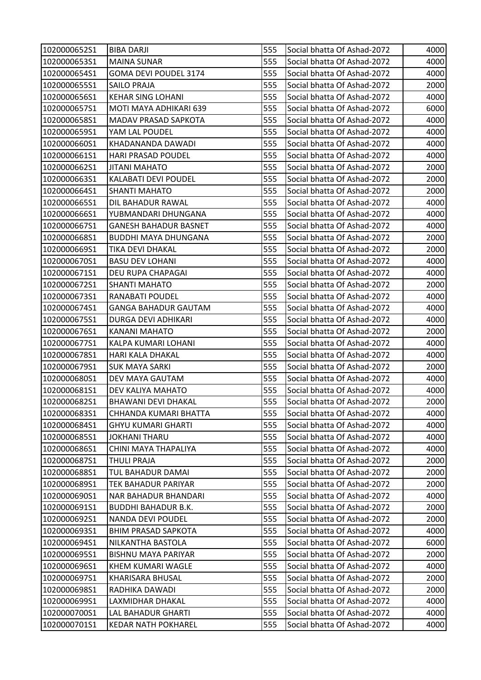| 1020000652S1 | <b>BIBA DARJI</b>            | 555 | Social bhatta Of Ashad-2072 | 4000 |
|--------------|------------------------------|-----|-----------------------------|------|
| 1020000653S1 | <b>MAINA SUNAR</b>           | 555 | Social bhatta Of Ashad-2072 | 4000 |
| 1020000654S1 | <b>GOMA DEVI POUDEL 3174</b> | 555 | Social bhatta Of Ashad-2072 | 4000 |
| 1020000655S1 | <b>SAILO PRAJA</b>           | 555 | Social bhatta Of Ashad-2072 | 2000 |
| 1020000656S1 | <b>KEHAR SING LOHANI</b>     | 555 | Social bhatta Of Ashad-2072 | 4000 |
| 1020000657S1 | MOTI MAYA ADHIKARI 639       | 555 | Social bhatta Of Ashad-2072 | 6000 |
| 1020000658S1 | <b>MADAV PRASAD SAPKOTA</b>  | 555 | Social bhatta Of Ashad-2072 | 4000 |
| 1020000659S1 | YAM LAL POUDEL               | 555 | Social bhatta Of Ashad-2072 | 4000 |
| 1020000660S1 | KHADANANDA DAWADI            | 555 | Social bhatta Of Ashad-2072 | 4000 |
| 1020000661S1 | <b>HARI PRASAD POUDEL</b>    | 555 | Social bhatta Of Ashad-2072 | 4000 |
| 1020000662S1 | <b>JITANI MAHATO</b>         | 555 | Social bhatta Of Ashad-2072 | 2000 |
| 1020000663S1 | KALABATI DEVI POUDEL         | 555 | Social bhatta Of Ashad-2072 | 2000 |
| 1020000664S1 | <b>SHANTI MAHATO</b>         | 555 | Social bhatta Of Ashad-2072 | 2000 |
| 1020000665S1 | DIL BAHADUR RAWAL            | 555 | Social bhatta Of Ashad-2072 | 4000 |
| 1020000666S1 | YUBMANDARI DHUNGANA          | 555 | Social bhatta Of Ashad-2072 | 4000 |
| 1020000667S1 | <b>GANESH BAHADUR BASNET</b> | 555 | Social bhatta Of Ashad-2072 | 4000 |
| 1020000668S1 | <b>BUDDHI MAYA DHUNGANA</b>  | 555 | Social bhatta Of Ashad-2072 | 2000 |
| 1020000669S1 | TIKA DEVI DHAKAL             | 555 | Social bhatta Of Ashad-2072 | 2000 |
| 1020000670S1 | <b>BASU DEV LOHANI</b>       | 555 | Social bhatta Of Ashad-2072 | 4000 |
| 1020000671S1 | <b>DEU RUPA CHAPAGAI</b>     | 555 | Social bhatta Of Ashad-2072 | 4000 |
| 1020000672S1 | <b>SHANTI MAHATO</b>         | 555 | Social bhatta Of Ashad-2072 | 2000 |
| 1020000673S1 | RANABATI POUDEL              | 555 | Social bhatta Of Ashad-2072 | 4000 |
| 1020000674S1 | <b>GANGA BAHADUR GAUTAM</b>  | 555 | Social bhatta Of Ashad-2072 | 4000 |
| 1020000675S1 | <b>DURGA DEVI ADHIKARI</b>   | 555 | Social bhatta Of Ashad-2072 | 4000 |
| 1020000676S1 | KANANI MAHATO                | 555 | Social bhatta Of Ashad-2072 | 2000 |
| 1020000677S1 | KALPA KUMARI LOHANI          | 555 | Social bhatta Of Ashad-2072 | 4000 |
| 1020000678S1 | HARI KALA DHAKAL             | 555 | Social bhatta Of Ashad-2072 | 4000 |
| 1020000679S1 | <b>SUK MAYA SARKI</b>        | 555 | Social bhatta Of Ashad-2072 | 2000 |
| 1020000680S1 | DEV MAYA GAUTAM              | 555 | Social bhatta Of Ashad-2072 | 4000 |
| 1020000681S1 | DEV KALIYA MAHATO            | 555 | Social bhatta Of Ashad-2072 | 4000 |
| 1020000682S1 | <b>BHAWANI DEVI DHAKAL</b>   | 555 | Social bhatta Of Ashad-2072 | 2000 |
| 1020000683S1 | CHHANDA KUMARI BHATTA        | 555 | Social bhatta Of Ashad-2072 | 4000 |
| 1020000684S1 | <b>GHYU KUMARI GHARTI</b>    | 555 | Social bhatta Of Ashad-2072 | 4000 |
| 1020000685S1 | <b>JOKHANI THARU</b>         | 555 | Social bhatta Of Ashad-2072 | 4000 |
| 1020000686S1 | CHINI MAYA THAPALIYA         | 555 | Social bhatta Of Ashad-2072 | 4000 |
| 1020000687S1 | <b>THULI PRAJA</b>           | 555 | Social bhatta Of Ashad-2072 | 2000 |
| 1020000688S1 | TUL BAHADUR DAMAI            | 555 | Social bhatta Of Ashad-2072 | 2000 |
| 1020000689S1 | TEK BAHADUR PARIYAR          | 555 | Social bhatta Of Ashad-2072 | 2000 |
| 1020000690S1 | NAR BAHADUR BHANDARI         | 555 | Social bhatta Of Ashad-2072 | 4000 |
| 1020000691S1 | <b>BUDDHI BAHADUR B.K.</b>   | 555 | Social bhatta Of Ashad-2072 | 2000 |
| 1020000692S1 | <b>NANDA DEVI POUDEL</b>     | 555 | Social bhatta Of Ashad-2072 | 2000 |
| 1020000693S1 | <b>BHIM PRASAD SAPKOTA</b>   | 555 | Social bhatta Of Ashad-2072 | 4000 |
| 1020000694S1 | NILKANTHA BASTOLA            | 555 | Social bhatta Of Ashad-2072 | 6000 |
| 1020000695S1 | <b>BISHNU MAYA PARIYAR</b>   | 555 | Social bhatta Of Ashad-2072 | 2000 |
| 1020000696S1 | KHEM KUMARI WAGLE            | 555 | Social bhatta Of Ashad-2072 | 4000 |
| 1020000697S1 | KHARISARA BHUSAL             | 555 | Social bhatta Of Ashad-2072 | 2000 |
| 1020000698S1 | RADHIKA DAWADI               | 555 | Social bhatta Of Ashad-2072 | 2000 |
| 1020000699S1 | LAXMIDHAR DHAKAL             | 555 | Social bhatta Of Ashad-2072 | 4000 |
| 1020000700S1 | <b>LAL BAHADUR GHARTI</b>    | 555 | Social bhatta Of Ashad-2072 | 4000 |
| 1020000701S1 | <b>KEDAR NATH POKHAREL</b>   | 555 | Social bhatta Of Ashad-2072 | 4000 |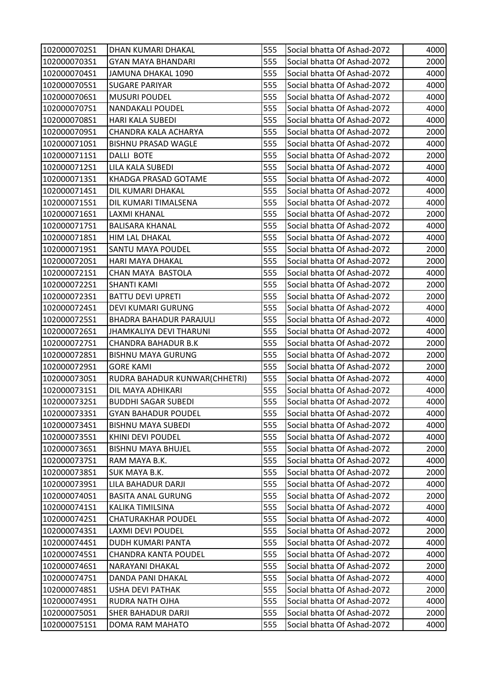| 1020000702S1 | DHAN KUMARI DHAKAL             | 555 | Social bhatta Of Ashad-2072 | 4000 |
|--------------|--------------------------------|-----|-----------------------------|------|
| 1020000703S1 | <b>GYAN MAYA BHANDARI</b>      | 555 | Social bhatta Of Ashad-2072 | 2000 |
| 1020000704S1 | JAMUNA DHAKAL 1090             | 555 | Social bhatta Of Ashad-2072 | 4000 |
| 1020000705S1 | <b>SUGARE PARIYAR</b>          | 555 | Social bhatta Of Ashad-2072 | 4000 |
| 1020000706S1 | <b>MUSURI POUDEL</b>           | 555 | Social bhatta Of Ashad-2072 | 4000 |
| 1020000707S1 | NANDAKALI POUDEL               | 555 | Social bhatta Of Ashad-2072 | 4000 |
| 1020000708S1 | <b>HARI KALA SUBEDI</b>        | 555 | Social bhatta Of Ashad-2072 | 4000 |
| 1020000709S1 | CHANDRA KALA ACHARYA           | 555 | Social bhatta Of Ashad-2072 | 2000 |
| 1020000710S1 | <b>BISHNU PRASAD WAGLE</b>     | 555 | Social bhatta Of Ashad-2072 | 4000 |
| 1020000711S1 | DALLI BOTE                     | 555 | Social bhatta Of Ashad-2072 | 2000 |
| 1020000712S1 | LILA KALA SUBEDI               | 555 | Social bhatta Of Ashad-2072 | 4000 |
| 1020000713S1 | KHADGA PRASAD GOTAME           | 555 | Social bhatta Of Ashad-2072 | 4000 |
| 1020000714S1 | DIL KUMARI DHAKAL              | 555 | Social bhatta Of Ashad-2072 | 4000 |
| 1020000715S1 | DIL KUMARI TIMALSENA           | 555 | Social bhatta Of Ashad-2072 | 4000 |
| 1020000716S1 | LAXMI KHANAL                   | 555 | Social bhatta Of Ashad-2072 | 2000 |
| 1020000717S1 | <b>BALISARA KHANAL</b>         | 555 | Social bhatta Of Ashad-2072 | 4000 |
| 1020000718S1 | <b>HIM LAL DHAKAL</b>          | 555 | Social bhatta Of Ashad-2072 | 4000 |
| 1020000719S1 | <b>SANTU MAYA POUDEL</b>       | 555 | Social bhatta Of Ashad-2072 | 2000 |
| 1020000720S1 | HARI MAYA DHAKAL               | 555 | Social bhatta Of Ashad-2072 | 2000 |
| 1020000721S1 | CHAN MAYA BASTOLA              | 555 | Social bhatta Of Ashad-2072 | 4000 |
| 1020000722S1 | <b>SHANTI KAMI</b>             | 555 | Social bhatta Of Ashad-2072 | 2000 |
| 1020000723S1 | <b>BATTU DEVI UPRETI</b>       | 555 | Social bhatta Of Ashad-2072 | 2000 |
| 1020000724S1 | DEVI KUMARI GURUNG             | 555 | Social bhatta Of Ashad-2072 | 4000 |
| 1020000725S1 | <b>BHADRA BAHADUR PARAJULI</b> | 555 | Social bhatta Of Ashad-2072 | 4000 |
| 1020000726S1 | JHAMKALIYA DEVI THARUNI        | 555 | Social bhatta Of Ashad-2072 | 4000 |
| 1020000727S1 | <b>CHANDRA BAHADUR B.K</b>     | 555 | Social bhatta Of Ashad-2072 | 2000 |
| 1020000728S1 | <b>BISHNU MAYA GURUNG</b>      | 555 | Social bhatta Of Ashad-2072 | 2000 |
| 1020000729S1 | <b>GORE KAMI</b>               | 555 | Social bhatta Of Ashad-2072 | 2000 |
| 1020000730S1 | RUDRA BAHADUR KUNWAR(CHHETRI)  | 555 | Social bhatta Of Ashad-2072 | 4000 |
| 1020000731S1 | DIL MAYA ADHIKARI              | 555 | Social bhatta Of Ashad-2072 | 4000 |
| 1020000732S1 | <b>BUDDHI SAGAR SUBEDI</b>     | 555 | Social bhatta Of Ashad-2072 | 4000 |
| 1020000733S1 | <b>GYAN BAHADUR POUDEL</b>     | 555 | Social bhatta Of Ashad-2072 | 4000 |
| 1020000734S1 | <b>BISHNU MAYA SUBEDI</b>      | 555 | Social bhatta Of Ashad-2072 | 4000 |
| 1020000735S1 | <b>KHINI DEVI POUDEL</b>       | 555 | Social bhatta Of Ashad-2072 | 4000 |
| 1020000736S1 | <b>BISHNU MAYA BHUJEL</b>      | 555 | Social bhatta Of Ashad-2072 | 2000 |
| 1020000737S1 | RAM MAYA B.K.                  | 555 | Social bhatta Of Ashad-2072 | 4000 |
| 1020000738S1 | <b>SUK MAYA B.K.</b>           | 555 | Social bhatta Of Ashad-2072 | 2000 |
| 1020000739S1 | LILA BAHADUR DARJI             | 555 | Social bhatta Of Ashad-2072 | 4000 |
| 1020000740S1 | <b>BASITA ANAL GURUNG</b>      | 555 | Social bhatta Of Ashad-2072 | 2000 |
| 1020000741S1 | KALIKA TIMILSINA               | 555 | Social bhatta Of Ashad-2072 | 4000 |
| 1020000742S1 | <b>CHATURAKHAR POUDEL</b>      | 555 | Social bhatta Of Ashad-2072 | 4000 |
| 1020000743S1 | <b>LAXMI DEVI POUDEL</b>       | 555 | Social bhatta Of Ashad-2072 | 2000 |
| 1020000744S1 | DUDH KUMARI PANTA              | 555 | Social bhatta Of Ashad-2072 | 4000 |
| 1020000745S1 | <b>CHANDRA KANTA POUDEL</b>    | 555 | Social bhatta Of Ashad-2072 | 4000 |
| 1020000746S1 | NARAYANI DHAKAL                | 555 | Social bhatta Of Ashad-2072 | 2000 |
| 1020000747S1 | DANDA PANI DHAKAL              | 555 | Social bhatta Of Ashad-2072 | 4000 |
| 1020000748S1 | <b>USHA DEVI PATHAK</b>        | 555 | Social bhatta Of Ashad-2072 | 2000 |
| 1020000749S1 | RUDRA NATH OJHA                | 555 | Social bhatta Of Ashad-2072 | 4000 |
| 1020000750S1 | <b>SHER BAHADUR DARJI</b>      | 555 | Social bhatta Of Ashad-2072 | 2000 |
| 1020000751S1 | DOMA RAM MAHATO                | 555 | Social bhatta Of Ashad-2072 | 4000 |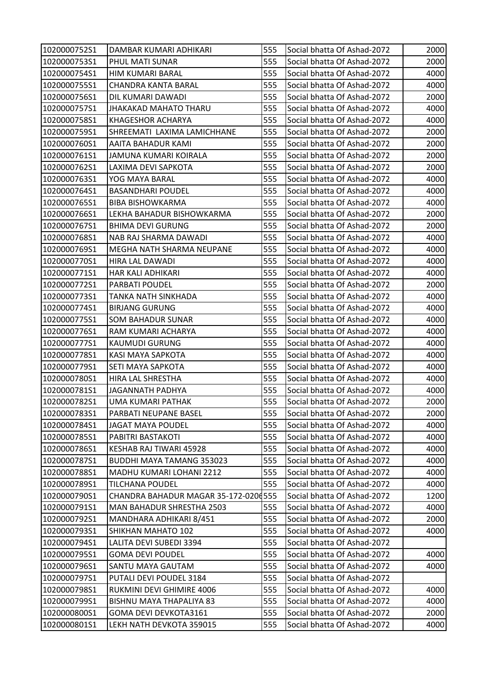| 1020000752S1 | DAMBAR KUMARI ADHIKARI               | 555 | Social bhatta Of Ashad-2072 | 2000 |
|--------------|--------------------------------------|-----|-----------------------------|------|
| 1020000753S1 | PHUL MATI SUNAR                      | 555 | Social bhatta Of Ashad-2072 | 2000 |
| 1020000754S1 | HIM KUMARI BARAL                     | 555 | Social bhatta Of Ashad-2072 | 4000 |
| 1020000755S1 | <b>CHANDRA KANTA BARAL</b>           | 555 | Social bhatta Of Ashad-2072 | 4000 |
| 1020000756S1 | DIL KUMARI DAWADI                    | 555 | Social bhatta Of Ashad-2072 | 2000 |
| 1020000757S1 | JHAKAKAD MAHATO THARU                | 555 | Social bhatta Of Ashad-2072 | 4000 |
| 1020000758S1 | <b>KHAGESHOR ACHARYA</b>             | 555 | Social bhatta Of Ashad-2072 | 4000 |
| 1020000759S1 | SHREEMATI LAXIMA LAMICHHANE          | 555 | Social bhatta Of Ashad-2072 | 2000 |
| 1020000760S1 | AAITA BAHADUR KAMI                   | 555 | Social bhatta Of Ashad-2072 | 2000 |
| 1020000761S1 | JAMUNA KUMARI KOIRALA                | 555 | Social bhatta Of Ashad-2072 | 2000 |
| 1020000762S1 | LAXIMA DEVI SAPKOTA                  | 555 | Social bhatta Of Ashad-2072 | 2000 |
| 1020000763S1 | YOG MAYA BARAL                       | 555 | Social bhatta Of Ashad-2072 | 4000 |
| 1020000764S1 | <b>BASANDHARI POUDEL</b>             | 555 | Social bhatta Of Ashad-2072 | 4000 |
| 1020000765S1 | <b>BIBA BISHOWKARMA</b>              | 555 | Social bhatta Of Ashad-2072 | 4000 |
| 1020000766S1 | LEKHA BAHADUR BISHOWKARMA            | 555 | Social bhatta Of Ashad-2072 | 2000 |
| 1020000767S1 | <b>BHIMA DEVI GURUNG</b>             | 555 | Social bhatta Of Ashad-2072 | 2000 |
| 1020000768S1 | NAB RAJ SHARMA DAWADI                | 555 | Social bhatta Of Ashad-2072 | 4000 |
| 1020000769S1 | MEGHA NATH SHARMA NEUPANE            | 555 | Social bhatta Of Ashad-2072 | 4000 |
| 1020000770S1 | <b>HIRA LAL DAWADI</b>               | 555 | Social bhatta Of Ashad-2072 | 4000 |
| 1020000771S1 | HAR KALI ADHIKARI                    | 555 | Social bhatta Of Ashad-2072 | 4000 |
| 1020000772S1 | PARBATI POUDEL                       | 555 | Social bhatta Of Ashad-2072 | 2000 |
| 1020000773S1 | TANKA NATH SINKHADA                  | 555 | Social bhatta Of Ashad-2072 | 4000 |
| 1020000774S1 | <b>BIRJANG GURUNG</b>                | 555 | Social bhatta Of Ashad-2072 | 4000 |
| 1020000775S1 | <b>SOM BAHADUR SUNAR</b>             | 555 | Social bhatta Of Ashad-2072 | 4000 |
| 1020000776S1 | RAM KUMARI ACHARYA                   | 555 | Social bhatta Of Ashad-2072 | 4000 |
| 1020000777S1 | KAUMUDI GURUNG                       | 555 | Social bhatta Of Ashad-2072 | 4000 |
| 1020000778S1 | KASI MAYA SAPKOTA                    | 555 | Social bhatta Of Ashad-2072 | 4000 |
| 1020000779S1 | <b>SETI MAYA SAPKOTA</b>             | 555 | Social bhatta Of Ashad-2072 | 4000 |
| 1020000780S1 | HIRA LAL SHRESTHA                    | 555 | Social bhatta Of Ashad-2072 | 4000 |
| 1020000781S1 | <b>JAGANNATH PADHYA</b>              | 555 | Social bhatta Of Ashad-2072 | 4000 |
| 1020000782S1 | <b>UMA KUMARI PATHAK</b>             | 555 | Social bhatta Of Ashad-2072 | 2000 |
| 1020000783S1 | PARBATI NEUPANE BASEL                | 555 | Social bhatta Of Ashad-2072 | 2000 |
| 1020000784S1 | <b>JAGAT MAYA POUDEL</b>             | 555 | Social bhatta Of Ashad-2072 | 4000 |
| 1020000785S1 | PABITRI BASTAKOTI                    | 555 | Social bhatta Of Ashad-2072 | 4000 |
| 1020000786S1 | KESHAB RAJ TIWARI 45928              | 555 | Social bhatta Of Ashad-2072 | 4000 |
| 1020000787S1 | <b>BUDDHI MAYA TAMANG 353023</b>     | 555 | Social bhatta Of Ashad-2072 | 4000 |
| 1020000788S1 | MADHU KUMARI LOHANI 2212             | 555 | Social bhatta Of Ashad-2072 | 4000 |
| 1020000789S1 | <b>TILCHANA POUDEL</b>               | 555 | Social bhatta Of Ashad-2072 | 4000 |
| 1020000790S1 | CHANDRA BAHADUR MAGAR 35-172-0206555 |     | Social bhatta Of Ashad-2072 | 1200 |
| 1020000791S1 | MAN BAHADUR SHRESTHA 2503            | 555 | Social bhatta Of Ashad-2072 | 4000 |
| 1020000792S1 | MANDHARA ADHIKARI 8/451              | 555 | Social bhatta Of Ashad-2072 | 2000 |
| 1020000793S1 | SHIKHAN MAHATO 102                   | 555 | Social bhatta Of Ashad-2072 | 4000 |
| 1020000794S1 | LALITA DEVI SUBEDI 3394              | 555 | Social bhatta Of Ashad-2072 |      |
| 1020000795S1 | <b>GOMA DEVI POUDEL</b>              | 555 | Social bhatta Of Ashad-2072 | 4000 |
| 1020000796S1 | SANTU MAYA GAUTAM                    | 555 | Social bhatta Of Ashad-2072 | 4000 |
| 1020000797S1 | PUTALI DEVI POUDEL 3184              | 555 | Social bhatta Of Ashad-2072 |      |
| 1020000798S1 | RUKMINI DEVI GHIMIRE 4006            | 555 | Social bhatta Of Ashad-2072 | 4000 |
| 1020000799S1 | BISHNU MAYA THAPALIYA 83             | 555 | Social bhatta Of Ashad-2072 | 4000 |
| 1020000800S1 | GOMA DEVI DEVKOTA3161                | 555 | Social bhatta Of Ashad-2072 | 2000 |
| 1020000801S1 | LEKH NATH DEVKOTA 359015             | 555 | Social bhatta Of Ashad-2072 | 4000 |